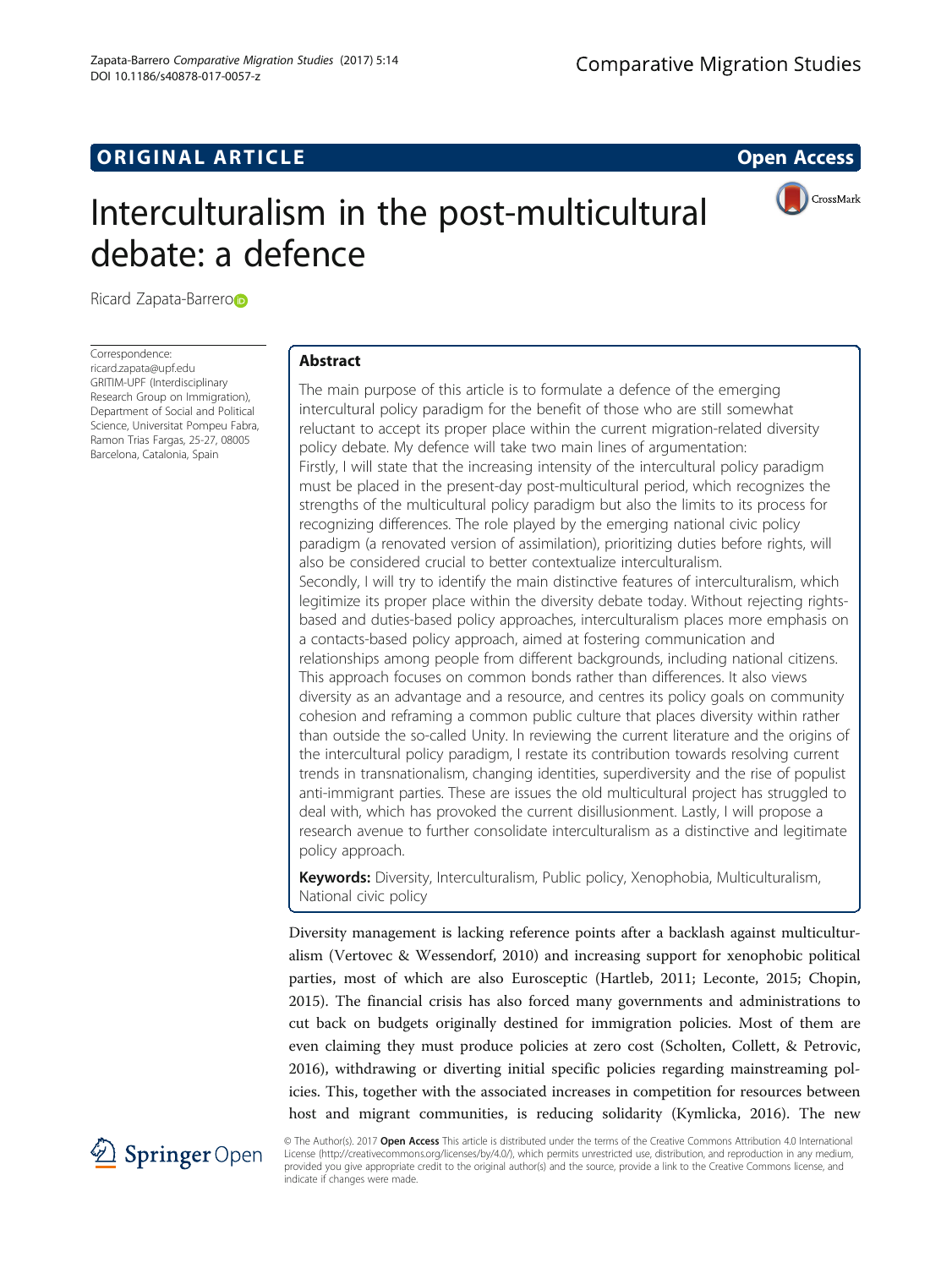# **ORIGINAL ARTICLE CONSERVANCE IN A LOCAL CONSERVANCE IN A LOCAL CONSERVANCE IN A LOCAL CONSERVANCE IN A LOCAL CONSERVANCE IN A LOCAL CONSERVANCE IN A LOCAL CONSERVANCE IN A LOCAL CONSERVANCE IN A LOCAL CONSERVANCE IN A L**



# Interculturalism in the post-multicultural debate: a defence

Ricard Zapata-Barrer[o](http://orcid.org/0000-0002-3478-1330)<sub>D</sub>

Correspondence: [ricard.zapata@upf.edu](mailto:ricard.zapata@upf.edu) GRITIM-UPF (Interdisciplinary Research Group on Immigration), Department of Social and Political Science, Universitat Pompeu Fabra, Ramon Trias Fargas, 25-27, 08005 Barcelona, Catalonia, Spain

## Abstract

The main purpose of this article is to formulate a defence of the emerging intercultural policy paradigm for the benefit of those who are still somewhat reluctant to accept its proper place within the current migration-related diversity policy debate. My defence will take two main lines of argumentation: Firstly, I will state that the increasing intensity of the intercultural policy paradigm must be placed in the present-day post-multicultural period, which recognizes the strengths of the multicultural policy paradigm but also the limits to its process for recognizing differences. The role played by the emerging national civic policy paradigm (a renovated version of assimilation), prioritizing duties before rights, will also be considered crucial to better contextualize interculturalism. Secondly, I will try to identify the main distinctive features of interculturalism, which legitimize its proper place within the diversity debate today. Without rejecting rightsbased and duties-based policy approaches, interculturalism places more emphasis on a contacts-based policy approach, aimed at fostering communication and relationships among people from different backgrounds, including national citizens. This approach focuses on common bonds rather than differences. It also views diversity as an advantage and a resource, and centres its policy goals on community cohesion and reframing a common public culture that places diversity within rather than outside the so-called Unity. In reviewing the current literature and the origins of the intercultural policy paradigm, I restate its contribution towards resolving current trends in transnationalism, changing identities, superdiversity and the rise of populist anti-immigrant parties. These are issues the old multicultural project has struggled to deal with, which has provoked the current disillusionment. Lastly, I will propose a research avenue to further consolidate interculturalism as a distinctive and legitimate policy approach.

Keywords: Diversity, Interculturalism, Public policy, Xenophobia, Multiculturalism, National civic policy

Diversity management is lacking reference points after a backlash against multiculturalism (Vertovec & Wessendorf, [2010](#page-21-0)) and increasing support for xenophobic political parties, most of which are also Eurosceptic (Hartleb, [2011](#page-20-0); Leconte, [2015](#page-20-0); Chopin, [2015](#page-19-0)). The financial crisis has also forced many governments and administrations to cut back on budgets originally destined for immigration policies. Most of them are even claiming they must produce policies at zero cost (Scholten, Collett, & Petrovic, [2016](#page-21-0)), withdrawing or diverting initial specific policies regarding mainstreaming policies. This, together with the associated increases in competition for resources between host and migrant communities, is reducing solidarity (Kymlicka, [2016\)](#page-20-0). The new



© The Author(s). 2017 Open Access This article is distributed under the terms of the Creative Commons Attribution 4.0 International License [\(http://creativecommons.org/licenses/by/4.0/](http://creativecommons.org/licenses/by/4.0/)), which permits unrestricted use, distribution, and reproduction in any medium, provided you give appropriate credit to the original author(s) and the source, provide a link to the Creative Commons license, and indicate if changes were made.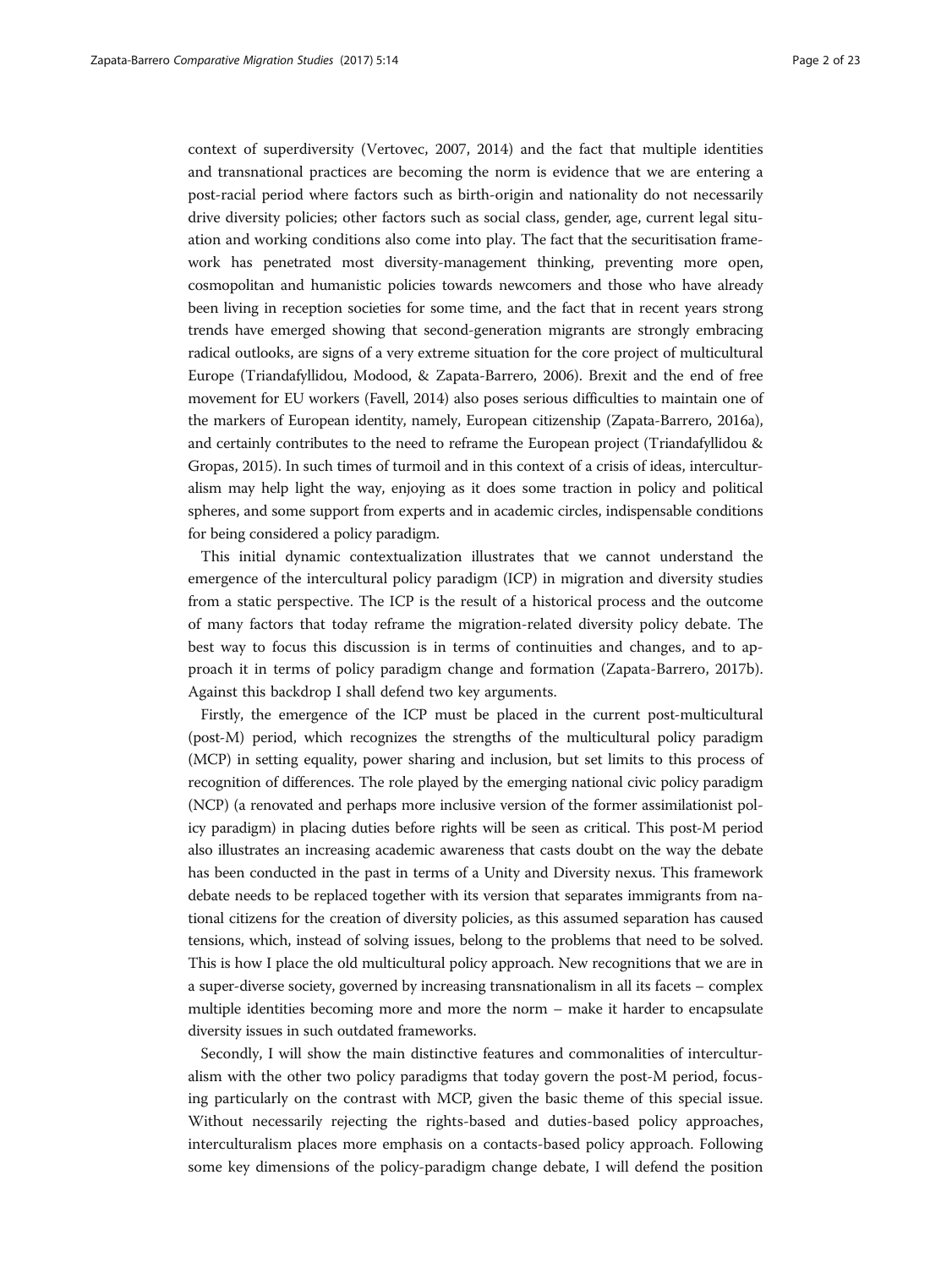context of superdiversity (Vertovec, [2007](#page-21-0), [2014](#page-21-0)) and the fact that multiple identities and transnational practices are becoming the norm is evidence that we are entering a post-racial period where factors such as birth-origin and nationality do not necessarily drive diversity policies; other factors such as social class, gender, age, current legal situation and working conditions also come into play. The fact that the securitisation framework has penetrated most diversity-management thinking, preventing more open, cosmopolitan and humanistic policies towards newcomers and those who have already been living in reception societies for some time, and the fact that in recent years strong trends have emerged showing that second-generation migrants are strongly embracing radical outlooks, are signs of a very extreme situation for the core project of multicultural Europe (Triandafyllidou, Modood, & Zapata-Barrero, [2006](#page-21-0)). Brexit and the end of free movement for EU workers (Favell, [2014](#page-20-0)) also poses serious difficulties to maintain one of the markers of European identity, namely, European citizenship (Zapata-Barrero, [2016a](#page-22-0)), and certainly contributes to the need to reframe the European project (Triandafyllidou & Gropas, [2015\)](#page-21-0). In such times of turmoil and in this context of a crisis of ideas, interculturalism may help light the way, enjoying as it does some traction in policy and political spheres, and some support from experts and in academic circles, indispensable conditions for being considered a policy paradigm.

This initial dynamic contextualization illustrates that we cannot understand the emergence of the intercultural policy paradigm (ICP) in migration and diversity studies from a static perspective. The ICP is the result of a historical process and the outcome of many factors that today reframe the migration-related diversity policy debate. The best way to focus this discussion is in terms of continuities and changes, and to approach it in terms of policy paradigm change and formation (Zapata-Barrero, [2017b](#page-22-0)). Against this backdrop I shall defend two key arguments.

Firstly, the emergence of the ICP must be placed in the current post-multicultural (post-M) period, which recognizes the strengths of the multicultural policy paradigm (MCP) in setting equality, power sharing and inclusion, but set limits to this process of recognition of differences. The role played by the emerging national civic policy paradigm (NCP) (a renovated and perhaps more inclusive version of the former assimilationist policy paradigm) in placing duties before rights will be seen as critical. This post-M period also illustrates an increasing academic awareness that casts doubt on the way the debate has been conducted in the past in terms of a Unity and Diversity nexus. This framework debate needs to be replaced together with its version that separates immigrants from national citizens for the creation of diversity policies, as this assumed separation has caused tensions, which, instead of solving issues, belong to the problems that need to be solved. This is how I place the old multicultural policy approach. New recognitions that we are in a super-diverse society, governed by increasing transnationalism in all its facets – complex multiple identities becoming more and more the norm – make it harder to encapsulate diversity issues in such outdated frameworks.

Secondly, I will show the main distinctive features and commonalities of interculturalism with the other two policy paradigms that today govern the post-M period, focusing particularly on the contrast with MCP, given the basic theme of this special issue. Without necessarily rejecting the rights-based and duties-based policy approaches, interculturalism places more emphasis on a contacts-based policy approach. Following some key dimensions of the policy-paradigm change debate, I will defend the position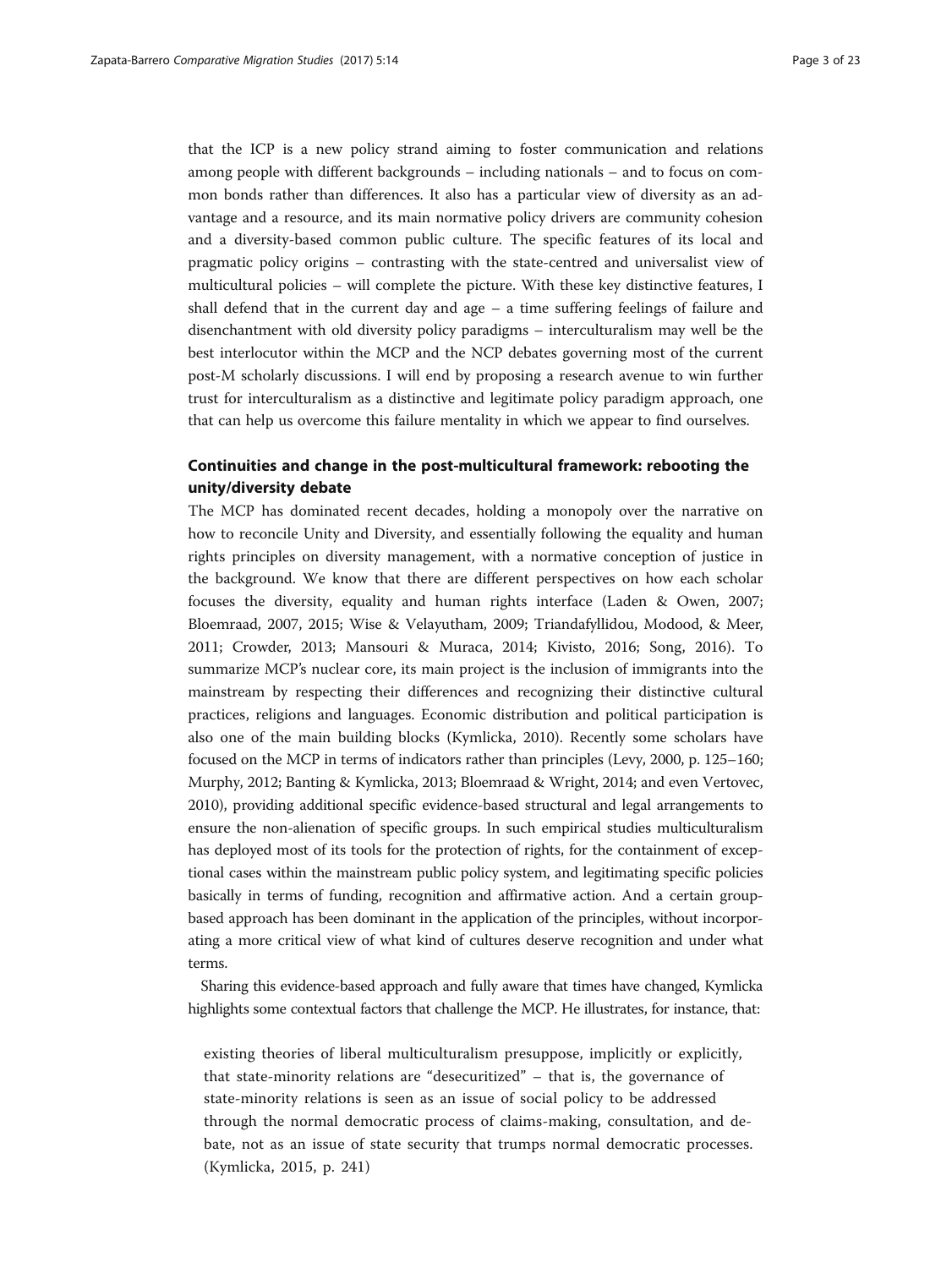that the ICP is a new policy strand aiming to foster communication and relations among people with different backgrounds – including nationals – and to focus on common bonds rather than differences. It also has a particular view of diversity as an advantage and a resource, and its main normative policy drivers are community cohesion and a diversity-based common public culture. The specific features of its local and pragmatic policy origins – contrasting with the state-centred and universalist view of multicultural policies – will complete the picture. With these key distinctive features, I shall defend that in the current day and age  $-$  a time suffering feelings of failure and disenchantment with old diversity policy paradigms – interculturalism may well be the best interlocutor within the MCP and the NCP debates governing most of the current post-M scholarly discussions. I will end by proposing a research avenue to win further trust for interculturalism as a distinctive and legitimate policy paradigm approach, one that can help us overcome this failure mentality in which we appear to find ourselves.

## Continuities and change in the post-multicultural framework: rebooting the unity/diversity debate

The MCP has dominated recent decades, holding a monopoly over the narrative on how to reconcile Unity and Diversity, and essentially following the equality and human rights principles on diversity management, with a normative conception of justice in the background. We know that there are different perspectives on how each scholar focuses the diversity, equality and human rights interface (Laden & Owen, [2007](#page-20-0); Bloemraad, [2007, 2015;](#page-19-0) Wise & Velayutham, [2009](#page-22-0); Triandafyllidou, Modood, & Meer, [2011](#page-21-0); Crowder, [2013](#page-19-0); Mansouri & Muraca, [2014](#page-21-0); Kivisto, [2016](#page-20-0); Song, [2016\)](#page-21-0). To summarize MCP's nuclear core, its main project is the inclusion of immigrants into the mainstream by respecting their differences and recognizing their distinctive cultural practices, religions and languages. Economic distribution and political participation is also one of the main building blocks (Kymlicka, [2010](#page-20-0)). Recently some scholars have focused on the MCP in terms of indicators rather than principles (Levy, [2000](#page-20-0), p. 125–160; Murphy, [2012](#page-21-0); Banting & Kymlicka, [2013;](#page-19-0) Bloemraad & Wright, [2014](#page-19-0); and even Vertovec, [2010\)](#page-21-0), providing additional specific evidence-based structural and legal arrangements to ensure the non-alienation of specific groups. In such empirical studies multiculturalism has deployed most of its tools for the protection of rights, for the containment of exceptional cases within the mainstream public policy system, and legitimating specific policies basically in terms of funding, recognition and affirmative action. And a certain groupbased approach has been dominant in the application of the principles, without incorporating a more critical view of what kind of cultures deserve recognition and under what terms.

Sharing this evidence-based approach and fully aware that times have changed, Kymlicka highlights some contextual factors that challenge the MCP. He illustrates, for instance, that:

existing theories of liberal multiculturalism presuppose, implicitly or explicitly, that state-minority relations are "desecuritized" – that is, the governance of state-minority relations is seen as an issue of social policy to be addressed through the normal democratic process of claims-making, consultation, and debate, not as an issue of state security that trumps normal democratic processes. (Kymlicka, [2015,](#page-20-0) p. 241)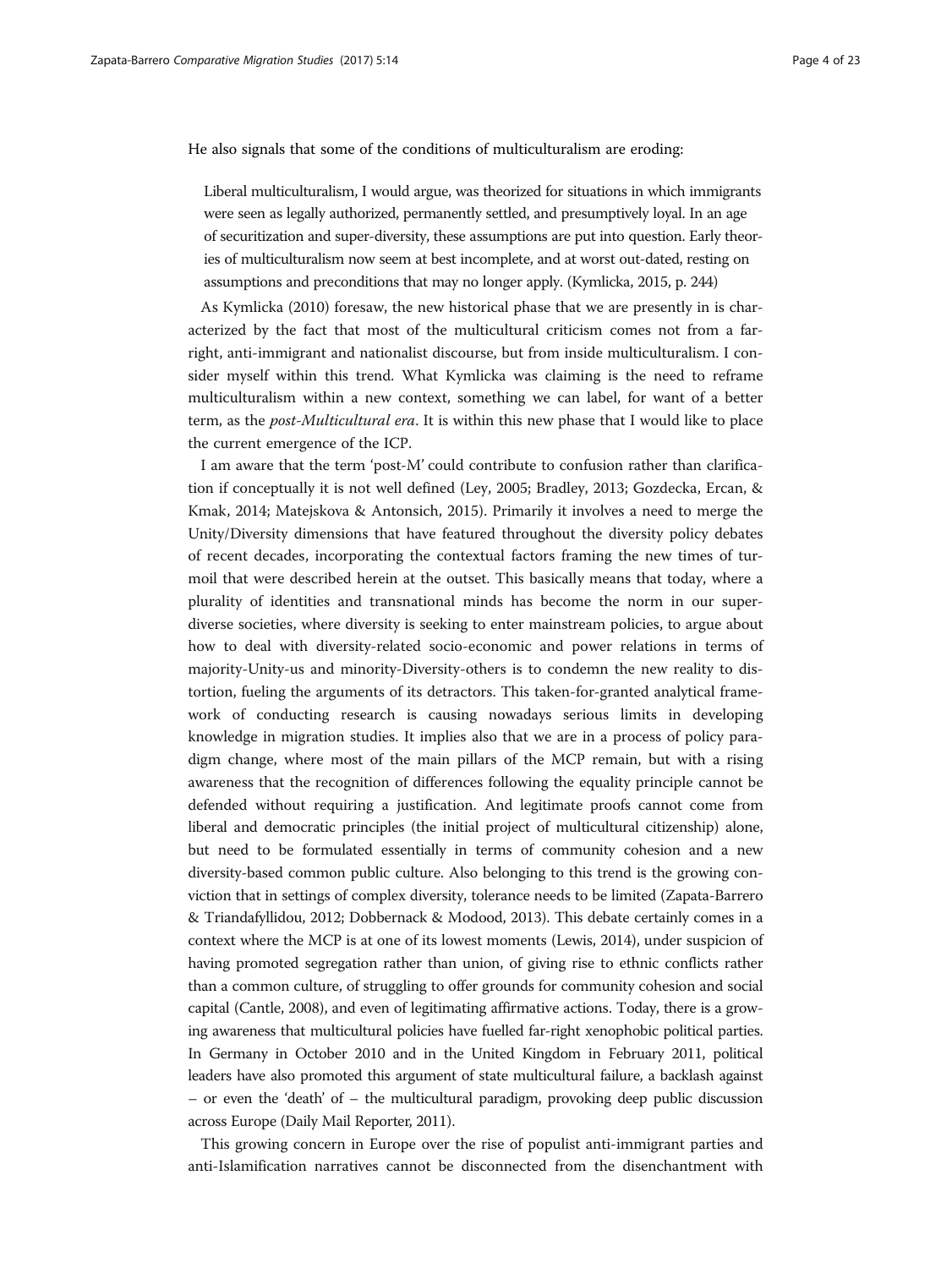He also signals that some of the conditions of multiculturalism are eroding:

Liberal multiculturalism, I would argue, was theorized for situations in which immigrants were seen as legally authorized, permanently settled, and presumptively loyal. In an age of securitization and super-diversity, these assumptions are put into question. Early theories of multiculturalism now seem at best incomplete, and at worst out-dated, resting on assumptions and preconditions that may no longer apply. (Kymlicka, [2015,](#page-20-0) p. 244)

As Kymlicka ([2010](#page-20-0)) foresaw, the new historical phase that we are presently in is characterized by the fact that most of the multicultural criticism comes not from a farright, anti-immigrant and nationalist discourse, but from inside multiculturalism. I consider myself within this trend. What Kymlicka was claiming is the need to reframe multiculturalism within a new context, something we can label, for want of a better term, as the post-Multicultural era. It is within this new phase that I would like to place the current emergence of the ICP.

I am aware that the term 'post-M' could contribute to confusion rather than clarification if conceptually it is not well defined (Ley, [2005](#page-21-0); Bradley, [2013;](#page-19-0) Gozdecka, Ercan, & Kmak, [2014](#page-20-0); Matejskova & Antonsich, [2015\)](#page-21-0). Primarily it involves a need to merge the Unity/Diversity dimensions that have featured throughout the diversity policy debates of recent decades, incorporating the contextual factors framing the new times of turmoil that were described herein at the outset. This basically means that today, where a plurality of identities and transnational minds has become the norm in our superdiverse societies, where diversity is seeking to enter mainstream policies, to argue about how to deal with diversity-related socio-economic and power relations in terms of majority-Unity-us and minority-Diversity-others is to condemn the new reality to distortion, fueling the arguments of its detractors. This taken-for-granted analytical framework of conducting research is causing nowadays serious limits in developing knowledge in migration studies. It implies also that we are in a process of policy paradigm change, where most of the main pillars of the MCP remain, but with a rising awareness that the recognition of differences following the equality principle cannot be defended without requiring a justification. And legitimate proofs cannot come from liberal and democratic principles (the initial project of multicultural citizenship) alone, but need to be formulated essentially in terms of community cohesion and a new diversity-based common public culture. Also belonging to this trend is the growing conviction that in settings of complex diversity, tolerance needs to be limited (Zapata-Barrero & Triandafyllidou, [2012](#page-22-0); Dobbernack & Modood, [2013\)](#page-20-0). This debate certainly comes in a context where the MCP is at one of its lowest moments (Lewis, [2014](#page-21-0)), under suspicion of having promoted segregation rather than union, of giving rise to ethnic conflicts rather than a common culture, of struggling to offer grounds for community cohesion and social capital (Cantle, [2008\)](#page-19-0), and even of legitimating affirmative actions. Today, there is a growing awareness that multicultural policies have fuelled far-right xenophobic political parties. In Germany in October 2010 and in the United Kingdom in February 2011, political leaders have also promoted this argument of state multicultural failure, a backlash against – or even the 'death' of – the multicultural paradigm, provoking deep public discussion across Europe (Daily Mail Reporter, [2011\)](#page-20-0).

This growing concern in Europe over the rise of populist anti-immigrant parties and anti-Islamification narratives cannot be disconnected from the disenchantment with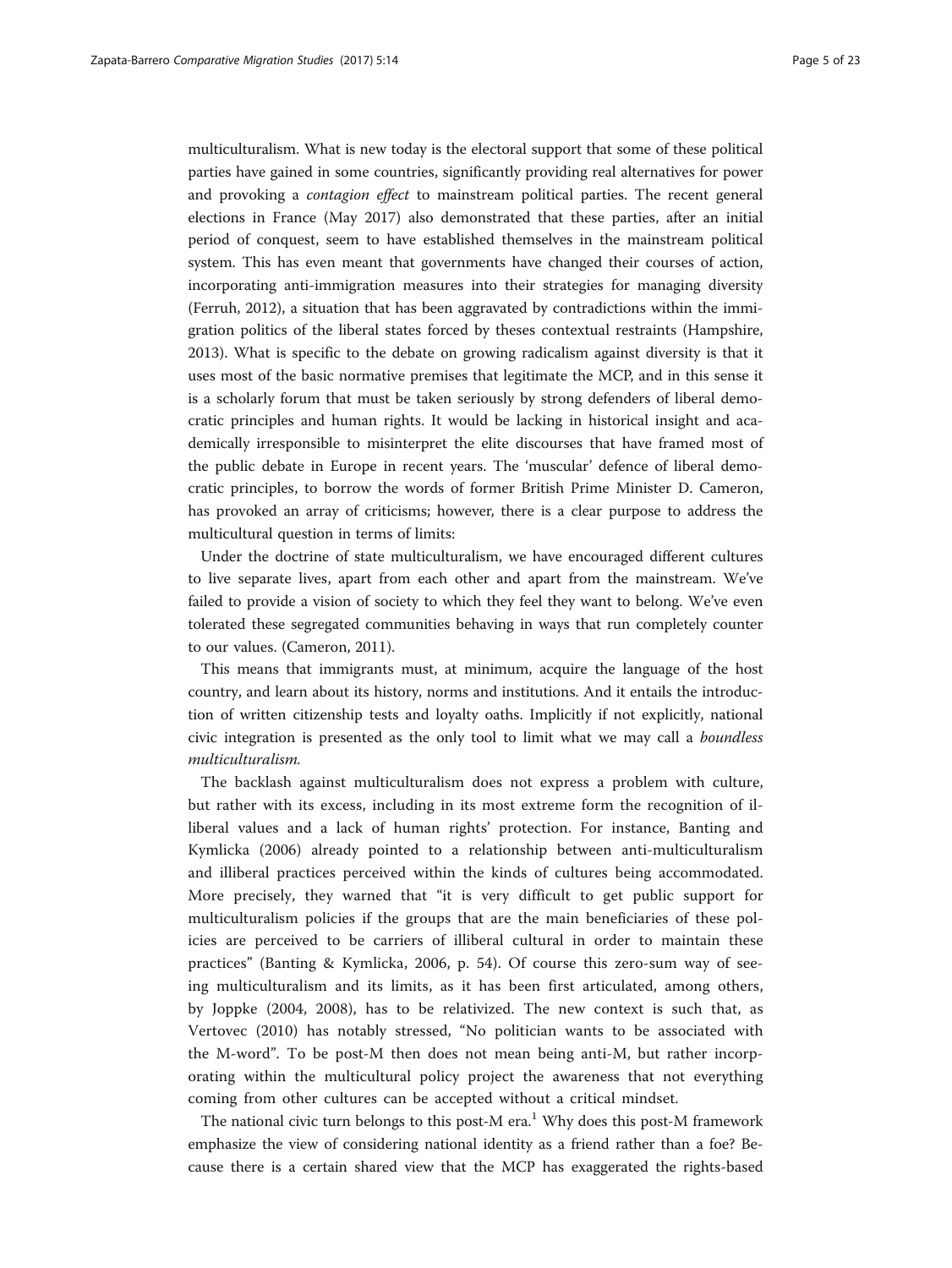multiculturalism. What is new today is the electoral support that some of these political parties have gained in some countries, significantly providing real alternatives for power and provoking a contagion effect to mainstream political parties. The recent general elections in France (May 2017) also demonstrated that these parties, after an initial period of conquest, seem to have established themselves in the mainstream political system. This has even meant that governments have changed their courses of action, incorporating anti-immigration measures into their strategies for managing diversity (Ferruh, [2012](#page-20-0)), a situation that has been aggravated by contradictions within the immigration politics of the liberal states forced by theses contextual restraints (Hampshire, [2013](#page-20-0)). What is specific to the debate on growing radicalism against diversity is that it uses most of the basic normative premises that legitimate the MCP, and in this sense it is a scholarly forum that must be taken seriously by strong defenders of liberal democratic principles and human rights. It would be lacking in historical insight and academically irresponsible to misinterpret the elite discourses that have framed most of the public debate in Europe in recent years. The 'muscular' defence of liberal democratic principles, to borrow the words of former British Prime Minister D. Cameron, has provoked an array of criticisms; however, there is a clear purpose to address the multicultural question in terms of limits:

Under the doctrine of state multiculturalism, we have encouraged different cultures to live separate lives, apart from each other and apart from the mainstream. We've failed to provide a vision of society to which they feel they want to belong. We've even tolerated these segregated communities behaving in ways that run completely counter to our values. (Cameron, [2011\)](#page-19-0).

This means that immigrants must, at minimum, acquire the language of the host country, and learn about its history, norms and institutions. And it entails the introduction of written citizenship tests and loyalty oaths. Implicitly if not explicitly, national civic integration is presented as the only tool to limit what we may call a boundless multiculturalism.

The backlash against multiculturalism does not express a problem with culture, but rather with its excess, including in its most extreme form the recognition of illiberal values and a lack of human rights' protection. For instance, Banting and Kymlicka ([2006\)](#page-19-0) already pointed to a relationship between anti-multiculturalism and illiberal practices perceived within the kinds of cultures being accommodated. More precisely, they warned that "it is very difficult to get public support for multiculturalism policies if the groups that are the main beneficiaries of these policies are perceived to be carriers of illiberal cultural in order to maintain these practices" (Banting & Kymlicka, [2006,](#page-19-0) p. 54). Of course this zero-sum way of seeing multiculturalism and its limits, as it has been first articulated, among others, by Joppke ([2004](#page-20-0), [2008\)](#page-20-0), has to be relativized. The new context is such that, as Vertovec [\(2010](#page-21-0)) has notably stressed, "No politician wants to be associated with the M-word". To be post-M then does not mean being anti-M, but rather incorporating within the multicultural policy project the awareness that not everything coming from other cultures can be accepted without a critical mindset.

The national civic turn belongs to this post-M  $era<sup>1</sup>$  Why does this post-M framework emphasize the view of considering national identity as a friend rather than a foe? Because there is a certain shared view that the MCP has exaggerated the rights-based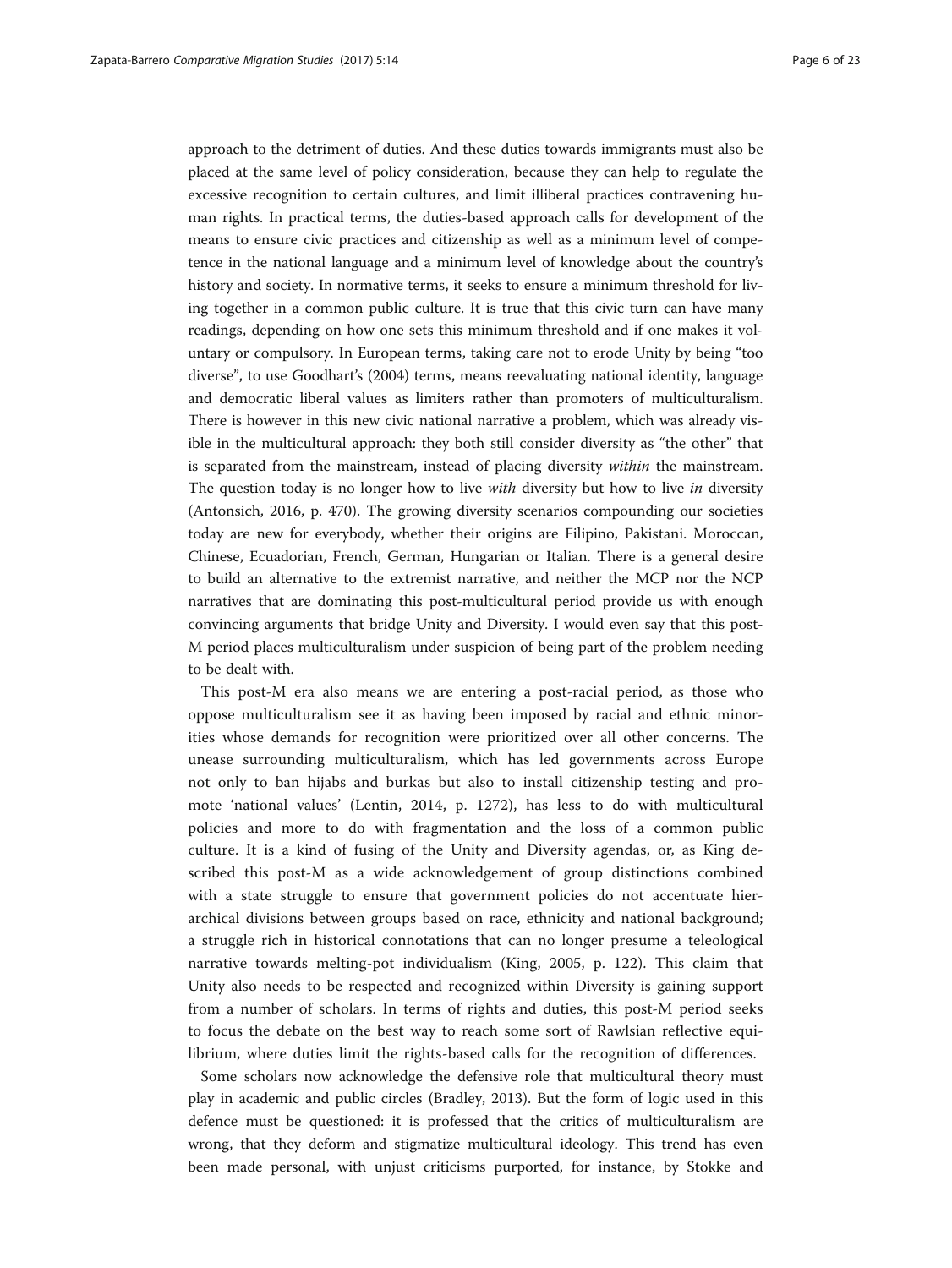approach to the detriment of duties. And these duties towards immigrants must also be placed at the same level of policy consideration, because they can help to regulate the excessive recognition to certain cultures, and limit illiberal practices contravening human rights. In practical terms, the duties-based approach calls for development of the means to ensure civic practices and citizenship as well as a minimum level of competence in the national language and a minimum level of knowledge about the country's history and society. In normative terms, it seeks to ensure a minimum threshold for living together in a common public culture. It is true that this civic turn can have many readings, depending on how one sets this minimum threshold and if one makes it voluntary or compulsory. In European terms, taking care not to erode Unity by being "too diverse", to use Goodhart's [\(2004\)](#page-20-0) terms, means reevaluating national identity, language and democratic liberal values as limiters rather than promoters of multiculturalism. There is however in this new civic national narrative a problem, which was already visible in the multicultural approach: they both still consider diversity as "the other" that is separated from the mainstream, instead of placing diversity within the mainstream. The question today is no longer how to live *with* diversity but how to live *in* diversity (Antonsich, [2016](#page-19-0), p. 470). The growing diversity scenarios compounding our societies today are new for everybody, whether their origins are Filipino, Pakistani. Moroccan, Chinese, Ecuadorian, French, German, Hungarian or Italian. There is a general desire to build an alternative to the extremist narrative, and neither the MCP nor the NCP narratives that are dominating this post-multicultural period provide us with enough convincing arguments that bridge Unity and Diversity. I would even say that this post-M period places multiculturalism under suspicion of being part of the problem needing to be dealt with.

This post-M era also means we are entering a post-racial period, as those who oppose multiculturalism see it as having been imposed by racial and ethnic minorities whose demands for recognition were prioritized over all other concerns. The unease surrounding multiculturalism, which has led governments across Europe not only to ban hijabs and burkas but also to install citizenship testing and promote 'national values' (Lentin, [2014](#page-20-0), p. 1272), has less to do with multicultural policies and more to do with fragmentation and the loss of a common public culture. It is a kind of fusing of the Unity and Diversity agendas, or, as King described this post-M as a wide acknowledgement of group distinctions combined with a state struggle to ensure that government policies do not accentuate hierarchical divisions between groups based on race, ethnicity and national background; a struggle rich in historical connotations that can no longer presume a teleological narrative towards melting-pot individualism (King, [2005,](#page-20-0) p. 122). This claim that Unity also needs to be respected and recognized within Diversity is gaining support from a number of scholars. In terms of rights and duties, this post-M period seeks to focus the debate on the best way to reach some sort of Rawlsian reflective equilibrium, where duties limit the rights-based calls for the recognition of differences.

Some scholars now acknowledge the defensive role that multicultural theory must play in academic and public circles (Bradley, [2013](#page-19-0)). But the form of logic used in this defence must be questioned: it is professed that the critics of multiculturalism are wrong, that they deform and stigmatize multicultural ideology. This trend has even been made personal, with unjust criticisms purported, for instance, by Stokke and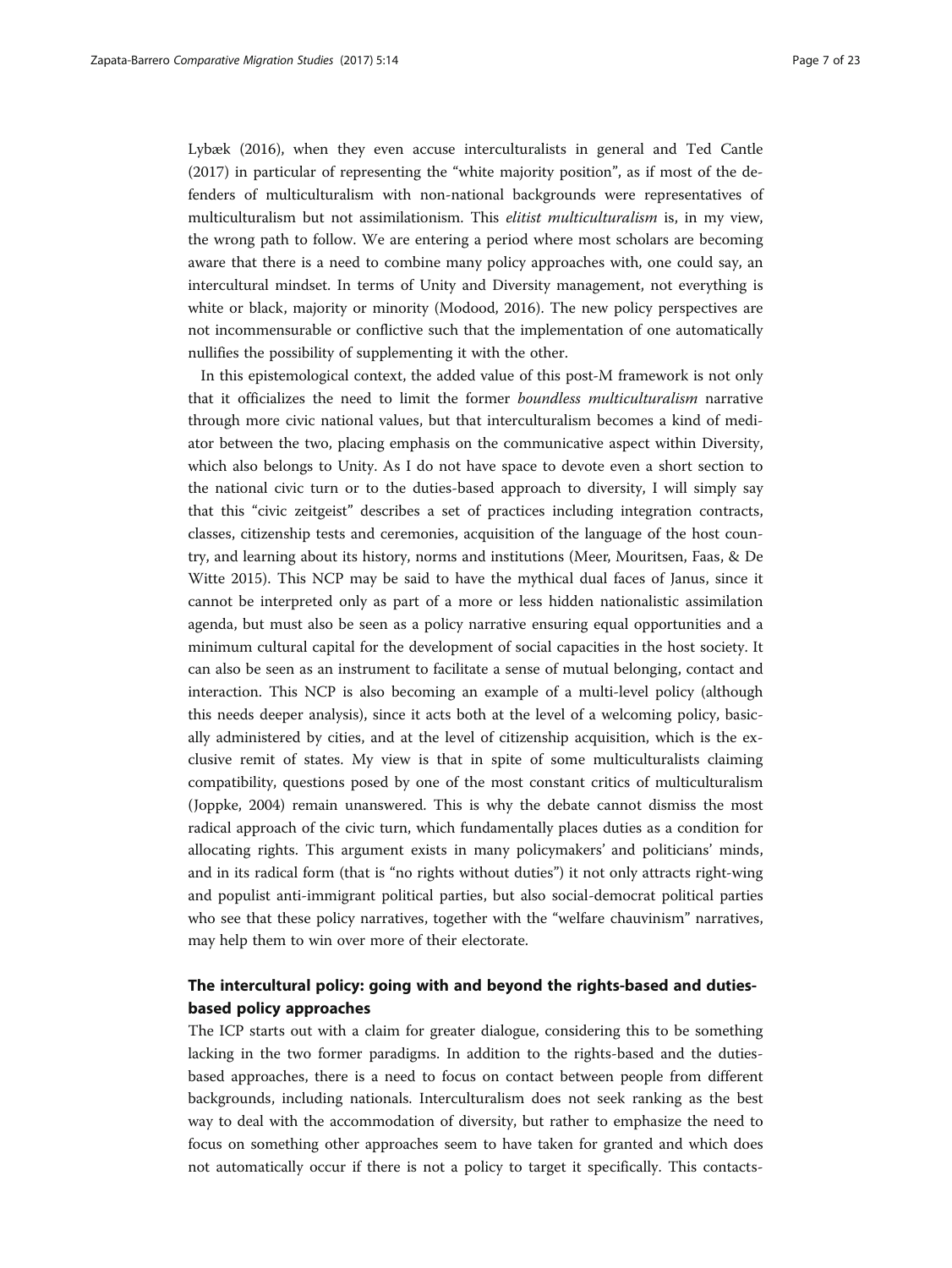Lybæk [\(2016\)](#page-21-0), when they even accuse interculturalists in general and Ted Cantle ([2017](#page-19-0)) in particular of representing the "white majority position", as if most of the defenders of multiculturalism with non-national backgrounds were representatives of multiculturalism but not assimilationism. This elitist multiculturalism is, in my view, the wrong path to follow. We are entering a period where most scholars are becoming aware that there is a need to combine many policy approaches with, one could say, an intercultural mindset. In terms of Unity and Diversity management, not everything is white or black, majority or minority (Modood, [2016](#page-21-0)). The new policy perspectives are not incommensurable or conflictive such that the implementation of one automatically nullifies the possibility of supplementing it with the other.

In this epistemological context, the added value of this post-M framework is not only that it officializes the need to limit the former boundless multiculturalism narrative through more civic national values, but that interculturalism becomes a kind of mediator between the two, placing emphasis on the communicative aspect within Diversity, which also belongs to Unity. As I do not have space to devote even a short section to the national civic turn or to the duties-based approach to diversity, I will simply say that this "civic zeitgeist" describes a set of practices including integration contracts, classes, citizenship tests and ceremonies, acquisition of the language of the host country, and learning about its history, norms and institutions (Meer, Mouritsen, Faas, & De Witte [2015](#page-21-0)). This NCP may be said to have the mythical dual faces of Janus, since it cannot be interpreted only as part of a more or less hidden nationalistic assimilation agenda, but must also be seen as a policy narrative ensuring equal opportunities and a minimum cultural capital for the development of social capacities in the host society. It can also be seen as an instrument to facilitate a sense of mutual belonging, contact and interaction. This NCP is also becoming an example of a multi-level policy (although this needs deeper analysis), since it acts both at the level of a welcoming policy, basically administered by cities, and at the level of citizenship acquisition, which is the exclusive remit of states. My view is that in spite of some multiculturalists claiming compatibility, questions posed by one of the most constant critics of multiculturalism (Joppke, [2004](#page-20-0)) remain unanswered. This is why the debate cannot dismiss the most radical approach of the civic turn, which fundamentally places duties as a condition for allocating rights. This argument exists in many policymakers' and politicians' minds, and in its radical form (that is "no rights without duties") it not only attracts right-wing and populist anti-immigrant political parties, but also social-democrat political parties who see that these policy narratives, together with the "welfare chauvinism" narratives, may help them to win over more of their electorate.

# The intercultural policy: going with and beyond the rights-based and dutiesbased policy approaches

The ICP starts out with a claim for greater dialogue, considering this to be something lacking in the two former paradigms. In addition to the rights-based and the dutiesbased approaches, there is a need to focus on contact between people from different backgrounds, including nationals. Interculturalism does not seek ranking as the best way to deal with the accommodation of diversity, but rather to emphasize the need to focus on something other approaches seem to have taken for granted and which does not automatically occur if there is not a policy to target it specifically. This contacts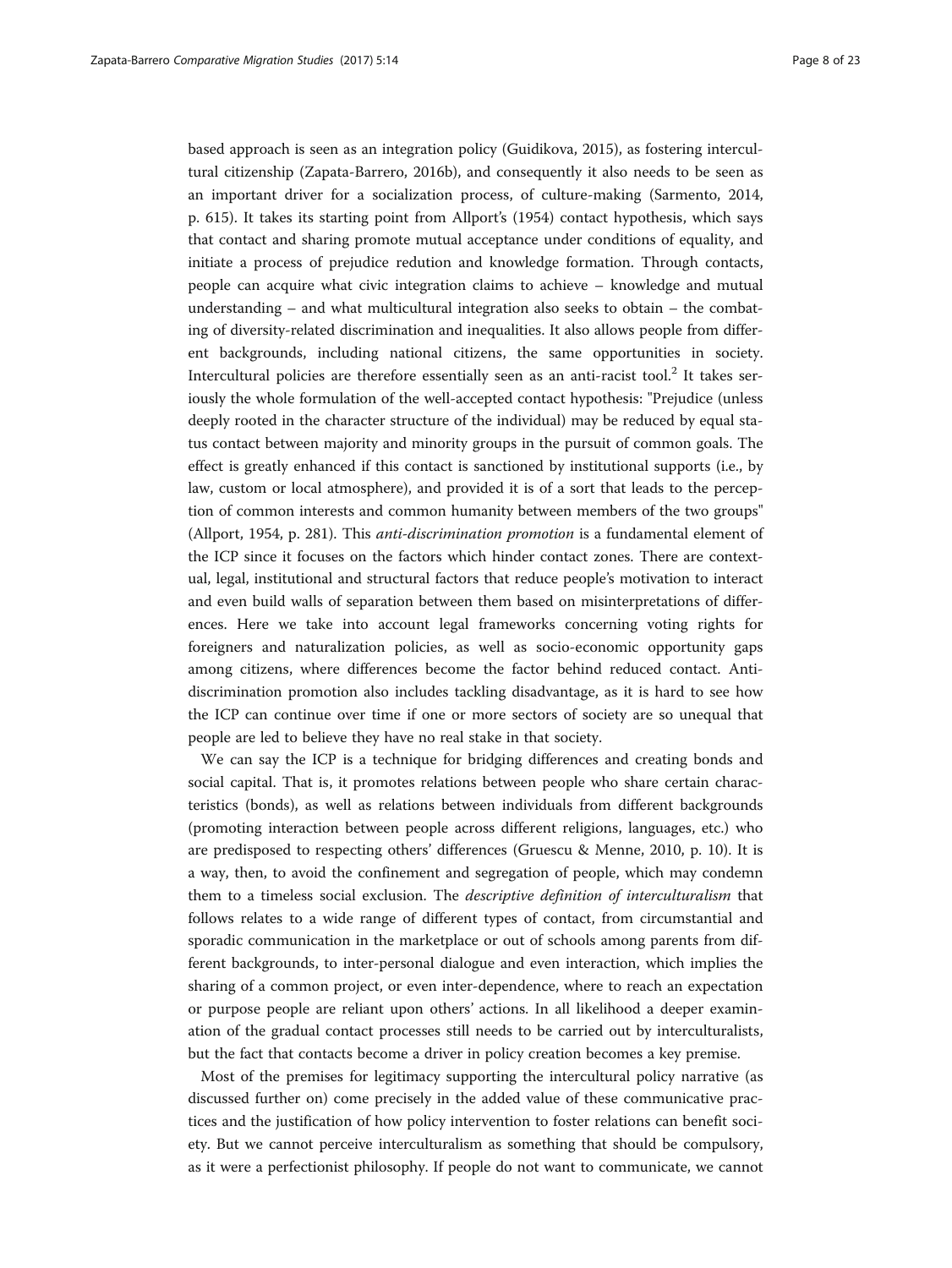based approach is seen as an integration policy (Guidikova, [2015](#page-20-0)), as fostering intercultural citizenship (Zapata-Barrero, [2016b](#page-22-0)), and consequently it also needs to be seen as an important driver for a socialization process, of culture-making (Sarmento, [2014](#page-21-0), p. 615). It takes its starting point from Allport's [\(1954\)](#page-19-0) contact hypothesis, which says that contact and sharing promote mutual acceptance under conditions of equality, and initiate a process of prejudice redution and knowledge formation. Through contacts, people can acquire what civic integration claims to achieve – knowledge and mutual understanding – and what multicultural integration also seeks to obtain – the combating of diversity-related discrimination and inequalities. It also allows people from different backgrounds, including national citizens, the same opportunities in society. Intercultural policies are therefore essentially seen as an anti-racist tool.<sup>2</sup> It takes seriously the whole formulation of the well-accepted contact hypothesis: "Prejudice (unless deeply rooted in the character structure of the individual) may be reduced by equal status contact between majority and minority groups in the pursuit of common goals. The effect is greatly enhanced if this contact is sanctioned by institutional supports (i.e., by law, custom or local atmosphere), and provided it is of a sort that leads to the perception of common interests and common humanity between members of the two groups" (Allport, [1954](#page-19-0), p. 281). This anti-discrimination promotion is a fundamental element of the ICP since it focuses on the factors which hinder contact zones. There are contextual, legal, institutional and structural factors that reduce people's motivation to interact and even build walls of separation between them based on misinterpretations of differences. Here we take into account legal frameworks concerning voting rights for foreigners and naturalization policies, as well as socio-economic opportunity gaps among citizens, where differences become the factor behind reduced contact. Antidiscrimination promotion also includes tackling disadvantage, as it is hard to see how the ICP can continue over time if one or more sectors of society are so unequal that people are led to believe they have no real stake in that society.

We can say the ICP is a technique for bridging differences and creating bonds and social capital. That is, it promotes relations between people who share certain characteristics (bonds), as well as relations between individuals from different backgrounds (promoting interaction between people across different religions, languages, etc.) who are predisposed to respecting others' differences (Gruescu & Menne, [2010](#page-20-0), p. 10). It is a way, then, to avoid the confinement and segregation of people, which may condemn them to a timeless social exclusion. The descriptive definition of interculturalism that follows relates to a wide range of different types of contact, from circumstantial and sporadic communication in the marketplace or out of schools among parents from different backgrounds, to inter-personal dialogue and even interaction, which implies the sharing of a common project, or even inter-dependence, where to reach an expectation or purpose people are reliant upon others' actions. In all likelihood a deeper examination of the gradual contact processes still needs to be carried out by interculturalists, but the fact that contacts become a driver in policy creation becomes a key premise.

Most of the premises for legitimacy supporting the intercultural policy narrative (as discussed further on) come precisely in the added value of these communicative practices and the justification of how policy intervention to foster relations can benefit society. But we cannot perceive interculturalism as something that should be compulsory, as it were a perfectionist philosophy. If people do not want to communicate, we cannot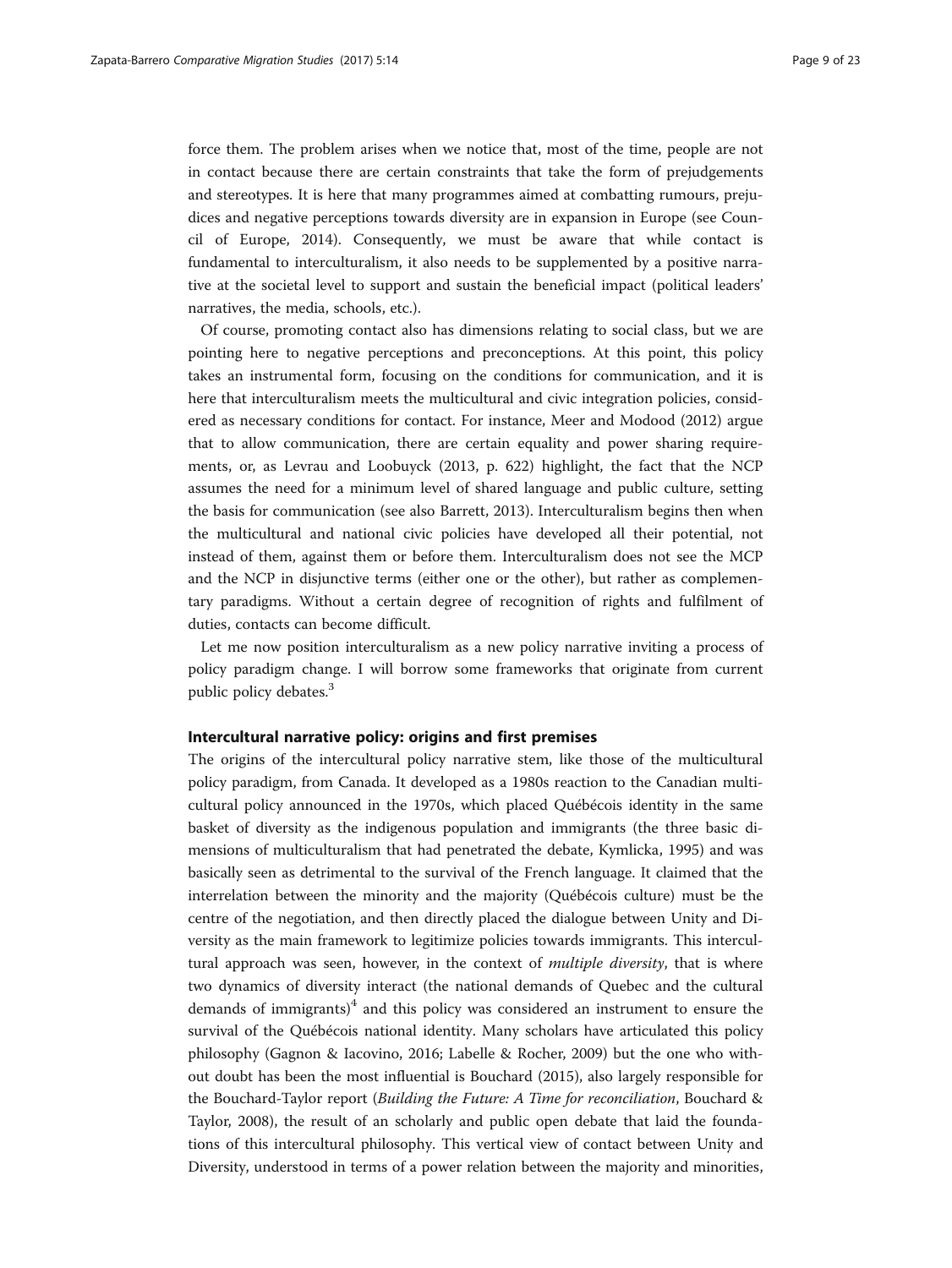force them. The problem arises when we notice that, most of the time, people are not in contact because there are certain constraints that take the form of prejudgements and stereotypes. It is here that many programmes aimed at combatting rumours, prejudices and negative perceptions towards diversity are in expansion in Europe (see Council of Europe, [2014](#page-19-0)). Consequently, we must be aware that while contact is fundamental to interculturalism, it also needs to be supplemented by a positive narrative at the societal level to support and sustain the beneficial impact (political leaders' narratives, the media, schools, etc.).

Of course, promoting contact also has dimensions relating to social class, but we are pointing here to negative perceptions and preconceptions. At this point, this policy takes an instrumental form, focusing on the conditions for communication, and it is here that interculturalism meets the multicultural and civic integration policies, considered as necessary conditions for contact. For instance, Meer and Modood [\(2012\)](#page-21-0) argue that to allow communication, there are certain equality and power sharing requirements, or, as Levrau and Loobuyck ([2013,](#page-20-0) p. 622) highlight, the fact that the NCP assumes the need for a minimum level of shared language and public culture, setting the basis for communication (see also Barrett, [2013\)](#page-19-0). Interculturalism begins then when the multicultural and national civic policies have developed all their potential, not instead of them, against them or before them. Interculturalism does not see the MCP and the NCP in disjunctive terms (either one or the other), but rather as complementary paradigms. Without a certain degree of recognition of rights and fulfilment of duties, contacts can become difficult.

Let me now position interculturalism as a new policy narrative inviting a process of policy paradigm change. I will borrow some frameworks that originate from current public policy debates.<sup>3</sup>

## Intercultural narrative policy: origins and first premises

The origins of the intercultural policy narrative stem, like those of the multicultural policy paradigm, from Canada. It developed as a 1980s reaction to the Canadian multicultural policy announced in the 1970s, which placed Québécois identity in the same basket of diversity as the indigenous population and immigrants (the three basic dimensions of multiculturalism that had penetrated the debate, Kymlicka, [1995\)](#page-20-0) and was basically seen as detrimental to the survival of the French language. It claimed that the interrelation between the minority and the majority (Québécois culture) must be the centre of the negotiation, and then directly placed the dialogue between Unity and Diversity as the main framework to legitimize policies towards immigrants. This intercultural approach was seen, however, in the context of *multiple diversity*, that is where two dynamics of diversity interact (the national demands of Quebec and the cultural demands of immigrants) $4$  and this policy was considered an instrument to ensure the survival of the Québécois national identity. Many scholars have articulated this policy philosophy (Gagnon & Iacovino, [2016](#page-20-0); Labelle & Rocher, [2009](#page-20-0)) but the one who without doubt has been the most influential is Bouchard ([2015](#page-19-0)), also largely responsible for the Bouchard-Taylor report (Building the Future: A Time for reconciliation, Bouchard & Taylor, [2008](#page-19-0)), the result of an scholarly and public open debate that laid the foundations of this intercultural philosophy. This vertical view of contact between Unity and Diversity, understood in terms of a power relation between the majority and minorities,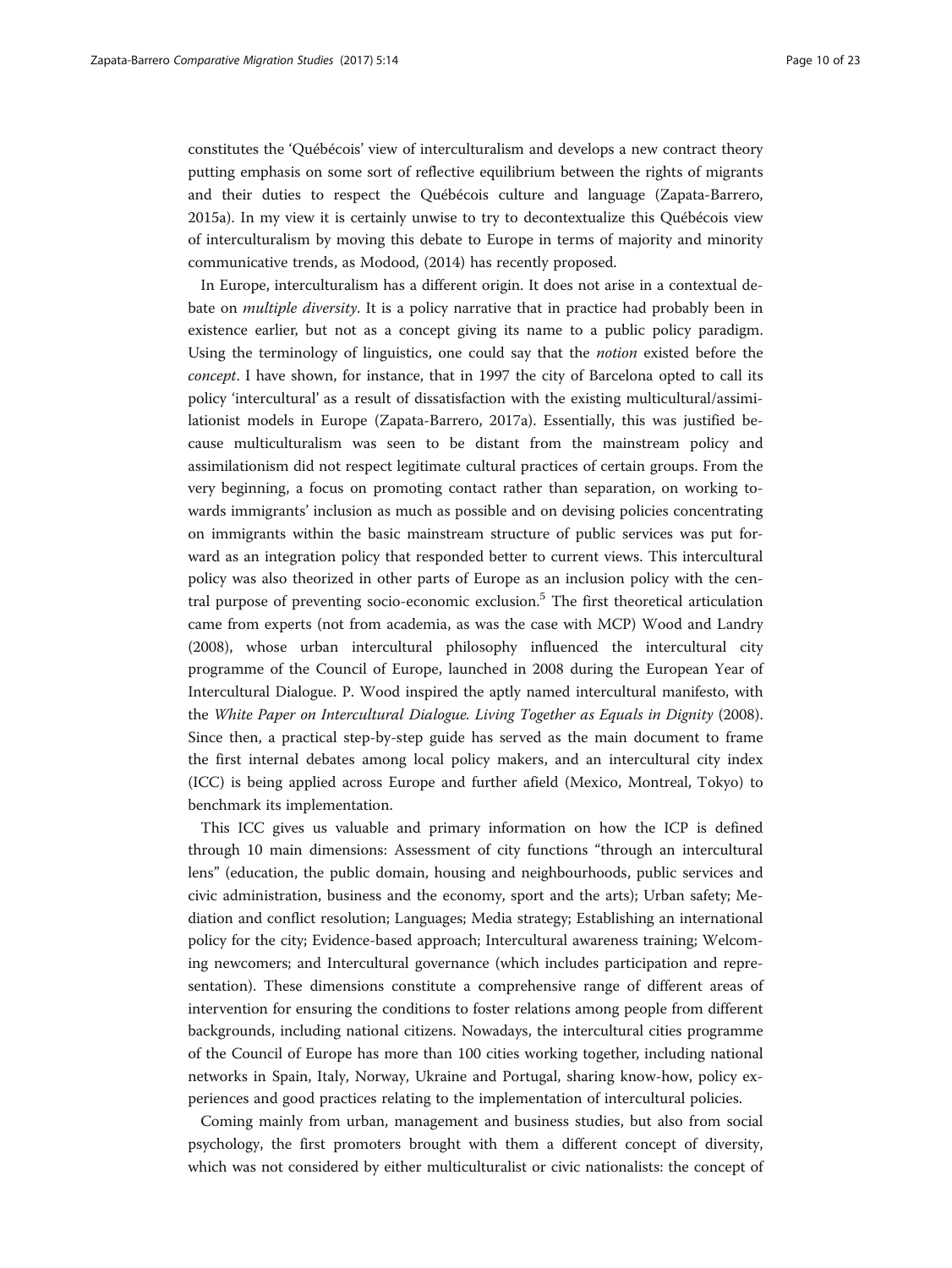constitutes the 'Québécois' view of interculturalism and develops a new contract theory putting emphasis on some sort of reflective equilibrium between the rights of migrants and their duties to respect the Québécois culture and language (Zapata-Barrero, [2015a\)](#page-22-0). In my view it is certainly unwise to try to decontextualize this Québécois view of interculturalism by moving this debate to Europe in terms of majority and minority communicative trends, as Modood, [\(2014](#page-21-0)) has recently proposed.

In Europe, interculturalism has a different origin. It does not arise in a contextual debate on multiple diversity. It is a policy narrative that in practice had probably been in existence earlier, but not as a concept giving its name to a public policy paradigm. Using the terminology of linguistics, one could say that the notion existed before the concept. I have shown, for instance, that in 1997 the city of Barcelona opted to call its policy 'intercultural' as a result of dissatisfaction with the existing multicultural/assimilationist models in Europe (Zapata-Barrero, [2017a](#page-22-0)). Essentially, this was justified because multiculturalism was seen to be distant from the mainstream policy and assimilationism did not respect legitimate cultural practices of certain groups. From the very beginning, a focus on promoting contact rather than separation, on working towards immigrants' inclusion as much as possible and on devising policies concentrating on immigrants within the basic mainstream structure of public services was put forward as an integration policy that responded better to current views. This intercultural policy was also theorized in other parts of Europe as an inclusion policy with the central purpose of preventing socio-economic exclusion.<sup>5</sup> The first theoretical articulation came from experts (not from academia, as was the case with MCP) Wood and Landry ([2008](#page-22-0)), whose urban intercultural philosophy influenced the intercultural city programme of the Council of Europe, launched in 2008 during the European Year of Intercultural Dialogue. P. Wood inspired the aptly named intercultural manifesto, with the White Paper on Intercultural Dialogue. Living Together as Equals in Dignity ([2008](#page-19-0)). Since then, a practical step-by-step guide has served as the main document to frame the first internal debates among local policy makers, and an intercultural city index (ICC) is being applied across Europe and further afield (Mexico, Montreal, Tokyo) to benchmark its implementation.

This ICC gives us valuable and primary information on how the ICP is defined through 10 main dimensions: Assessment of city functions "through an intercultural lens" (education, the public domain, housing and neighbourhoods, public services and civic administration, business and the economy, sport and the arts); Urban safety; Mediation and conflict resolution; Languages; Media strategy; Establishing an international policy for the city; Evidence-based approach; Intercultural awareness training; Welcoming newcomers; and Intercultural governance (which includes participation and representation). These dimensions constitute a comprehensive range of different areas of intervention for ensuring the conditions to foster relations among people from different backgrounds, including national citizens. Nowadays, the intercultural cities programme of the Council of Europe has more than 100 cities working together, including national networks in Spain, Italy, Norway, Ukraine and Portugal, sharing know-how, policy experiences and good practices relating to the implementation of intercultural policies.

Coming mainly from urban, management and business studies, but also from social psychology, the first promoters brought with them a different concept of diversity, which was not considered by either multiculturalist or civic nationalists: the concept of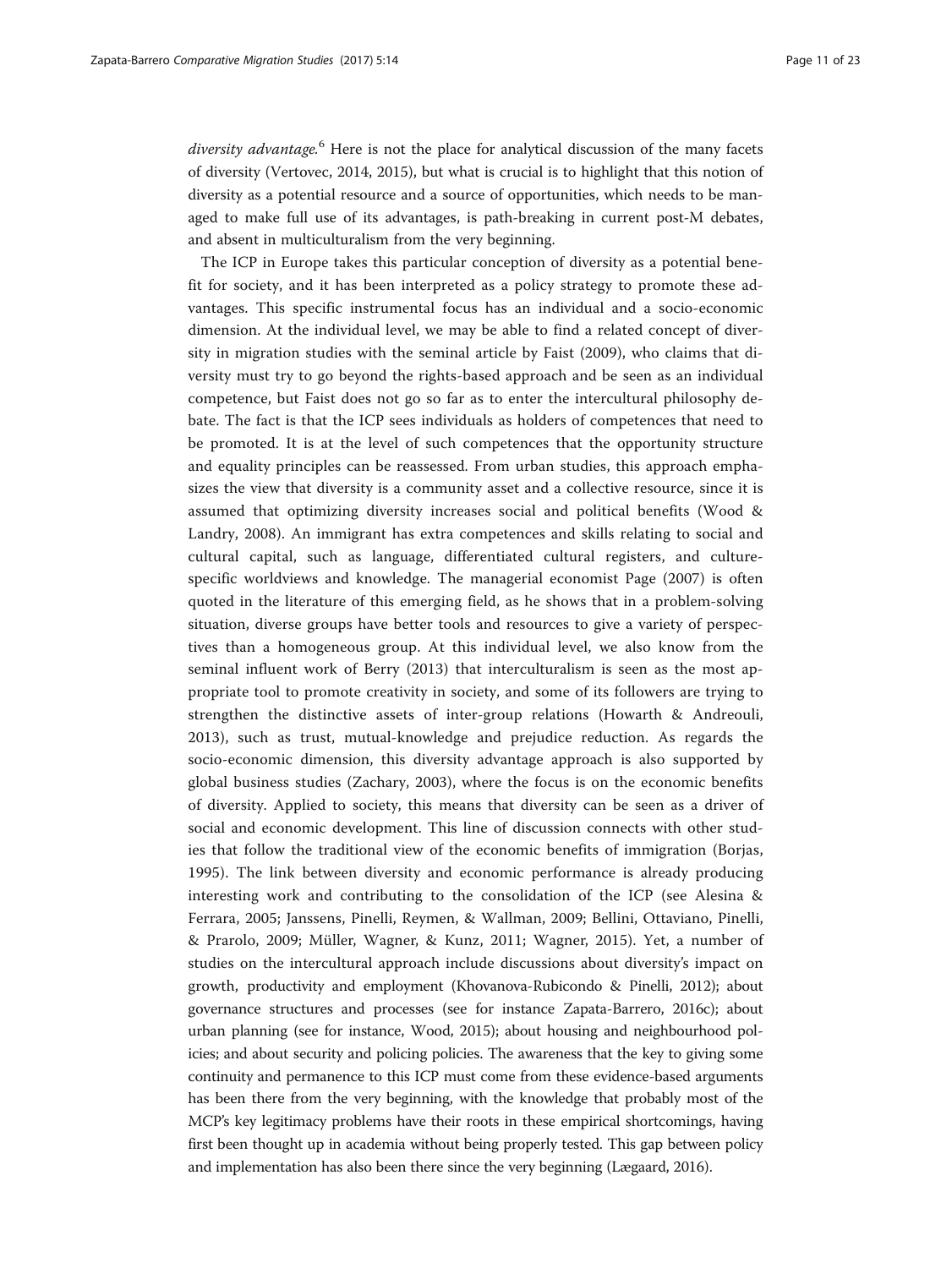diversity advantage.<sup>6</sup> Here is not the place for analytical discussion of the many facets of diversity (Vertovec, [2014, 2015\)](#page-21-0), but what is crucial is to highlight that this notion of diversity as a potential resource and a source of opportunities, which needs to be managed to make full use of its advantages, is path-breaking in current post-M debates, and absent in multiculturalism from the very beginning.

The ICP in Europe takes this particular conception of diversity as a potential benefit for society, and it has been interpreted as a policy strategy to promote these advantages. This specific instrumental focus has an individual and a socio-economic dimension. At the individual level, we may be able to find a related concept of diversity in migration studies with the seminal article by Faist [\(2009](#page-20-0)), who claims that diversity must try to go beyond the rights-based approach and be seen as an individual competence, but Faist does not go so far as to enter the intercultural philosophy debate. The fact is that the ICP sees individuals as holders of competences that need to be promoted. It is at the level of such competences that the opportunity structure and equality principles can be reassessed. From urban studies, this approach emphasizes the view that diversity is a community asset and a collective resource, since it is assumed that optimizing diversity increases social and political benefits (Wood & Landry, [2008\)](#page-22-0). An immigrant has extra competences and skills relating to social and cultural capital, such as language, differentiated cultural registers, and culturespecific worldviews and knowledge. The managerial economist Page ([2007](#page-21-0)) is often quoted in the literature of this emerging field, as he shows that in a problem-solving situation, diverse groups have better tools and resources to give a variety of perspectives than a homogeneous group. At this individual level, we also know from the seminal influent work of Berry ([2013\)](#page-19-0) that interculturalism is seen as the most appropriate tool to promote creativity in society, and some of its followers are trying to strengthen the distinctive assets of inter-group relations (Howarth & Andreouli, [2013\)](#page-20-0), such as trust, mutual-knowledge and prejudice reduction. As regards the socio-economic dimension, this diversity advantage approach is also supported by global business studies (Zachary, [2003\)](#page-22-0), where the focus is on the economic benefits of diversity. Applied to society, this means that diversity can be seen as a driver of social and economic development. This line of discussion connects with other studies that follow the traditional view of the economic benefits of immigration (Borjas, [1995\)](#page-19-0). The link between diversity and economic performance is already producing interesting work and contributing to the consolidation of the ICP (see Alesina & Ferrara, [2005](#page-19-0); Janssens, Pinelli, Reymen, & Wallman, [2009;](#page-20-0) Bellini, Ottaviano, Pinelli, & Prarolo, [2009;](#page-19-0) Müller, Wagner, & Kunz, [2011](#page-21-0); Wagner, [2015\)](#page-22-0). Yet, a number of studies on the intercultural approach include discussions about diversity's impact on growth, productivity and employment (Khovanova-Rubicondo & Pinelli, [2012\)](#page-20-0); about governance structures and processes (see for instance Zapata-Barrero, [2016c\)](#page-22-0); about urban planning (see for instance, Wood, [2015\)](#page-22-0); about housing and neighbourhood policies; and about security and policing policies. The awareness that the key to giving some continuity and permanence to this ICP must come from these evidence-based arguments has been there from the very beginning, with the knowledge that probably most of the MCP's key legitimacy problems have their roots in these empirical shortcomings, having first been thought up in academia without being properly tested. This gap between policy and implementation has also been there since the very beginning (Lægaard, [2016\)](#page-20-0).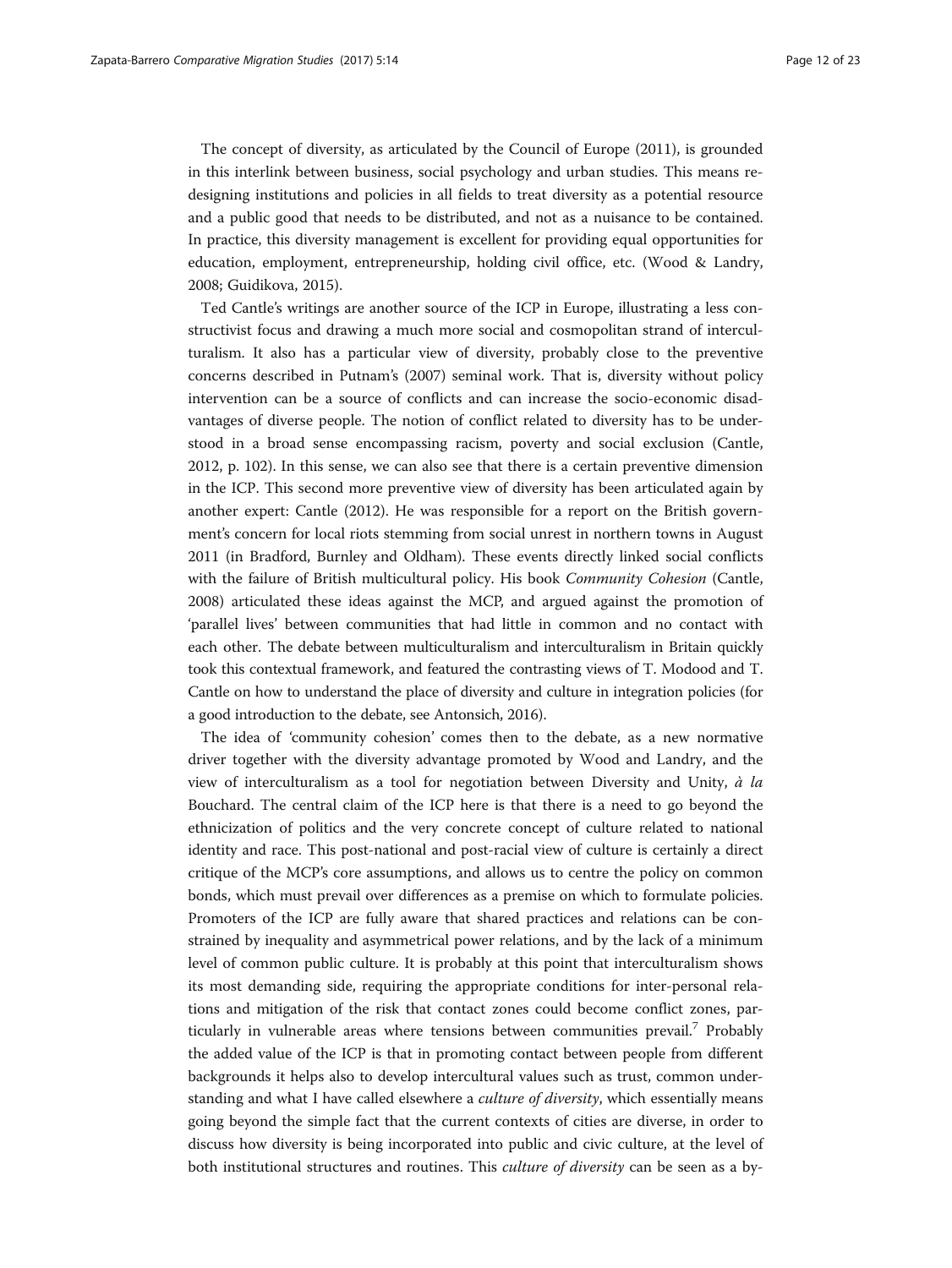The concept of diversity, as articulated by the Council of Europe ([2011](#page-19-0)), is grounded in this interlink between business, social psychology and urban studies. This means redesigning institutions and policies in all fields to treat diversity as a potential resource and a public good that needs to be distributed, and not as a nuisance to be contained. In practice, this diversity management is excellent for providing equal opportunities for education, employment, entrepreneurship, holding civil office, etc. (Wood & Landry, [2008](#page-22-0); Guidikova, [2015](#page-20-0)).

Ted Cantle's writings are another source of the ICP in Europe, illustrating a less constructivist focus and drawing a much more social and cosmopolitan strand of interculturalism. It also has a particular view of diversity, probably close to the preventive concerns described in Putnam's [\(2007](#page-21-0)) seminal work. That is, diversity without policy intervention can be a source of conflicts and can increase the socio-economic disadvantages of diverse people. The notion of conflict related to diversity has to be understood in a broad sense encompassing racism, poverty and social exclusion (Cantle, [2012](#page-19-0), p. 102). In this sense, we can also see that there is a certain preventive dimension in the ICP. This second more preventive view of diversity has been articulated again by another expert: Cantle [\(2012](#page-19-0)). He was responsible for a report on the British government's concern for local riots stemming from social unrest in northern towns in August 2011 (in Bradford, Burnley and Oldham). These events directly linked social conflicts with the failure of British multicultural policy. His book Community Cohesion (Cantle, [2008](#page-19-0)) articulated these ideas against the MCP, and argued against the promotion of 'parallel lives' between communities that had little in common and no contact with each other. The debate between multiculturalism and interculturalism in Britain quickly took this contextual framework, and featured the contrasting views of T. Modood and T. Cantle on how to understand the place of diversity and culture in integration policies (for a good introduction to the debate, see Antonsich, [2016\)](#page-19-0).

The idea of 'community cohesion' comes then to the debate, as a new normative driver together with the diversity advantage promoted by Wood and Landry, and the view of interculturalism as a tool for negotiation between Diversity and Unity,  $\dot{a}$  la Bouchard. The central claim of the ICP here is that there is a need to go beyond the ethnicization of politics and the very concrete concept of culture related to national identity and race. This post-national and post-racial view of culture is certainly a direct critique of the MCP's core assumptions, and allows us to centre the policy on common bonds, which must prevail over differences as a premise on which to formulate policies. Promoters of the ICP are fully aware that shared practices and relations can be constrained by inequality and asymmetrical power relations, and by the lack of a minimum level of common public culture. It is probably at this point that interculturalism shows its most demanding side, requiring the appropriate conditions for inter-personal relations and mitigation of the risk that contact zones could become conflict zones, particularly in vulnerable areas where tensions between communities prevail.<sup>7</sup> Probably the added value of the ICP is that in promoting contact between people from different backgrounds it helps also to develop intercultural values such as trust, common understanding and what I have called elsewhere a *culture of diversity*, which essentially means going beyond the simple fact that the current contexts of cities are diverse, in order to discuss how diversity is being incorporated into public and civic culture, at the level of both institutional structures and routines. This *culture of diversity* can be seen as a by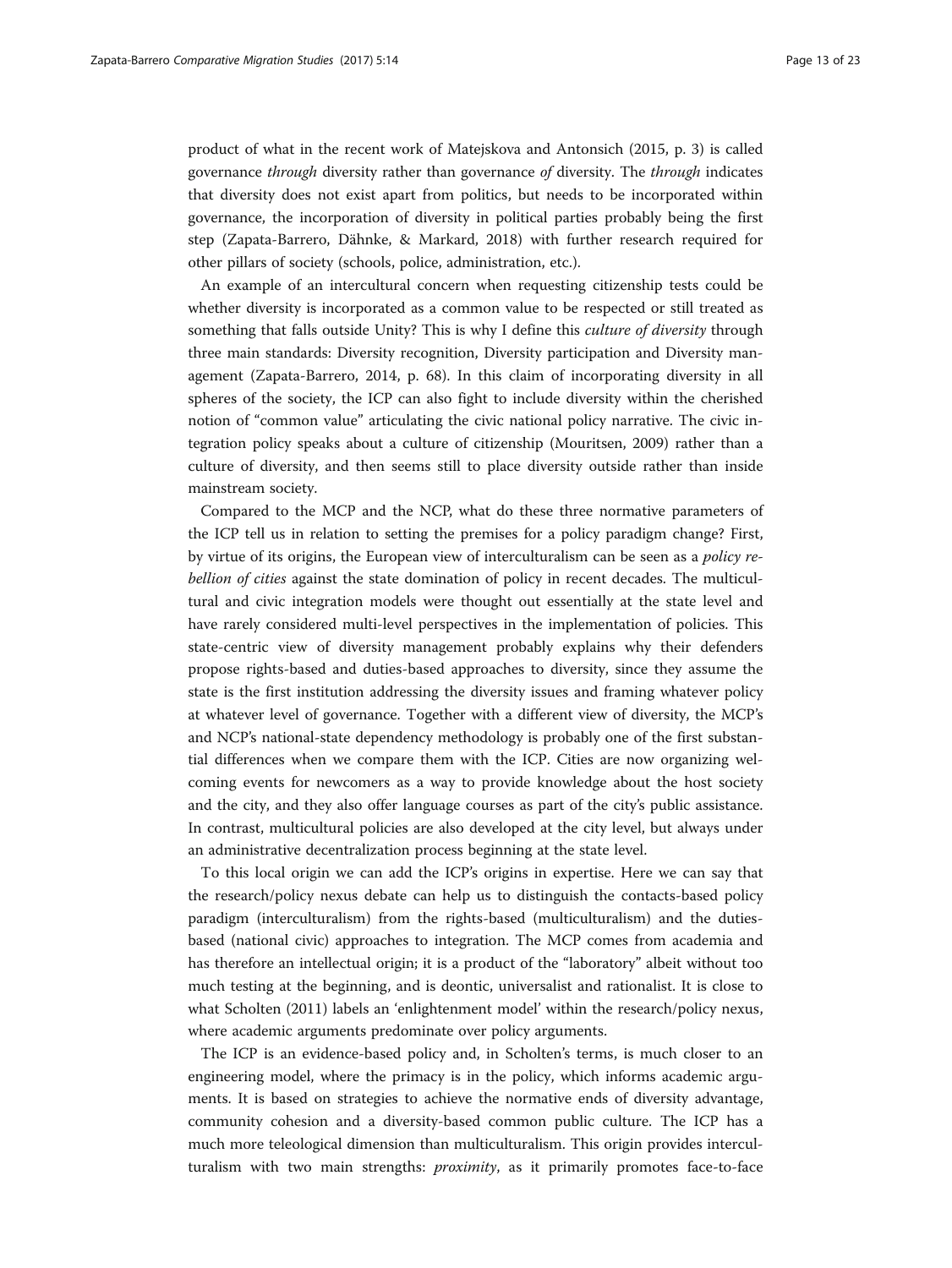product of what in the recent work of Matejskova and Antonsich ([2015](#page-21-0), p. 3) is called governance through diversity rather than governance of diversity. The through indicates that diversity does not exist apart from politics, but needs to be incorporated within governance, the incorporation of diversity in political parties probably being the first step (Zapata-Barrero, Dähnke, & Markard, [2018\)](#page-22-0) with further research required for other pillars of society (schools, police, administration, etc.).

An example of an intercultural concern when requesting citizenship tests could be whether diversity is incorporated as a common value to be respected or still treated as something that falls outside Unity? This is why I define this culture of diversity through three main standards: Diversity recognition, Diversity participation and Diversity management (Zapata-Barrero, [2014](#page-22-0), p. 68). In this claim of incorporating diversity in all spheres of the society, the ICP can also fight to include diversity within the cherished notion of "common value" articulating the civic national policy narrative. The civic integration policy speaks about a culture of citizenship (Mouritsen, [2009\)](#page-21-0) rather than a culture of diversity, and then seems still to place diversity outside rather than inside mainstream society.

Compared to the MCP and the NCP, what do these three normative parameters of the ICP tell us in relation to setting the premises for a policy paradigm change? First, by virtue of its origins, the European view of interculturalism can be seen as a policy rebellion of cities against the state domination of policy in recent decades. The multicultural and civic integration models were thought out essentially at the state level and have rarely considered multi-level perspectives in the implementation of policies. This state-centric view of diversity management probably explains why their defenders propose rights-based and duties-based approaches to diversity, since they assume the state is the first institution addressing the diversity issues and framing whatever policy at whatever level of governance. Together with a different view of diversity, the MCP's and NCP's national-state dependency methodology is probably one of the first substantial differences when we compare them with the ICP. Cities are now organizing welcoming events for newcomers as a way to provide knowledge about the host society and the city, and they also offer language courses as part of the city's public assistance. In contrast, multicultural policies are also developed at the city level, but always under an administrative decentralization process beginning at the state level.

To this local origin we can add the ICP's origins in expertise. Here we can say that the research/policy nexus debate can help us to distinguish the contacts-based policy paradigm (interculturalism) from the rights-based (multiculturalism) and the dutiesbased (national civic) approaches to integration. The MCP comes from academia and has therefore an intellectual origin; it is a product of the "laboratory" albeit without too much testing at the beginning, and is deontic, universalist and rationalist. It is close to what Scholten [\(2011\)](#page-21-0) labels an 'enlightenment model' within the research/policy nexus, where academic arguments predominate over policy arguments.

The ICP is an evidence-based policy and, in Scholten's terms, is much closer to an engineering model, where the primacy is in the policy, which informs academic arguments. It is based on strategies to achieve the normative ends of diversity advantage, community cohesion and a diversity-based common public culture. The ICP has a much more teleological dimension than multiculturalism. This origin provides interculturalism with two main strengths: proximity, as it primarily promotes face-to-face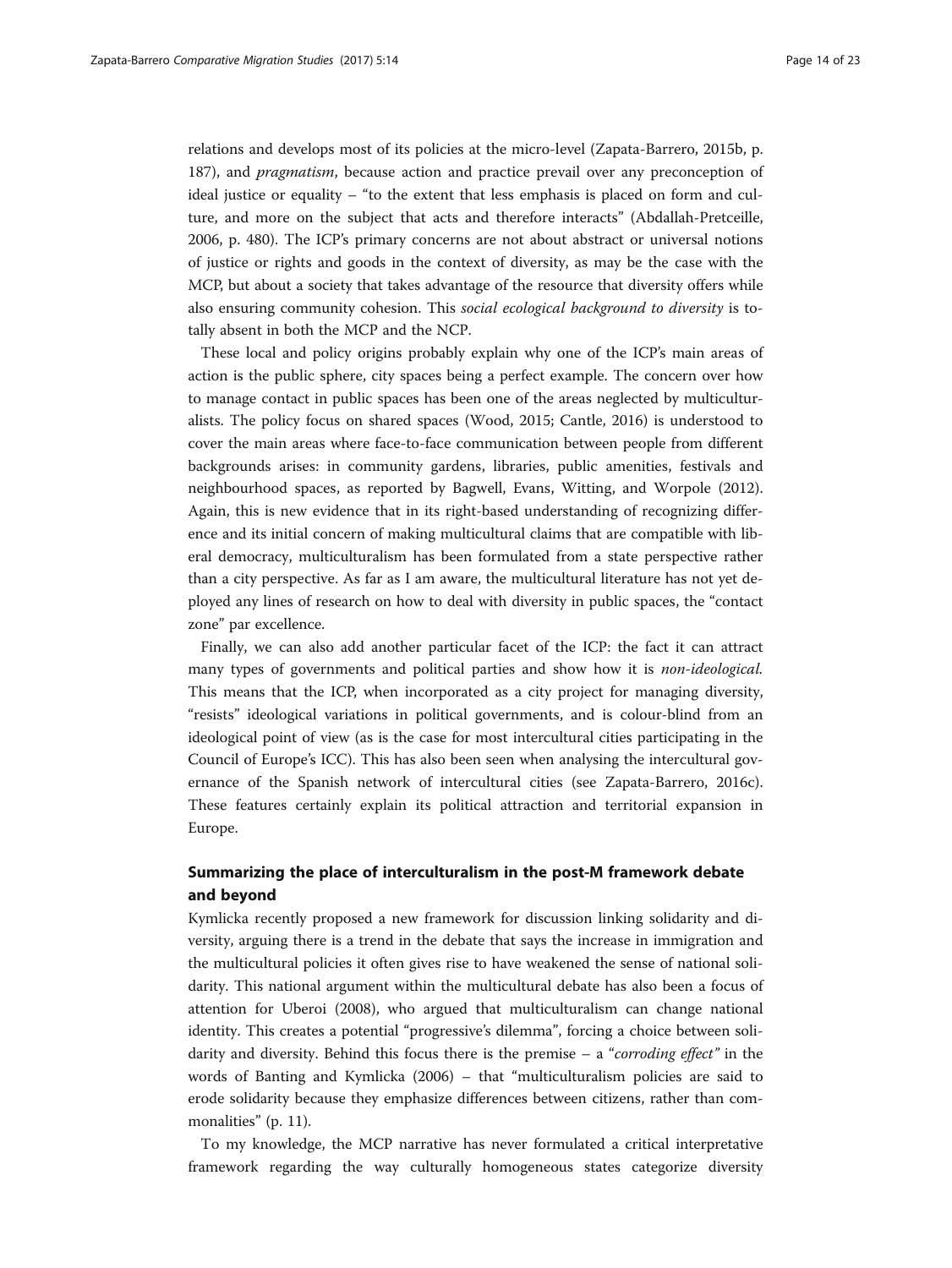relations and develops most of its policies at the micro-level (Zapata-Barrero, [2015b,](#page-22-0) p. 187), and pragmatism, because action and practice prevail over any preconception of ideal justice or equality – "to the extent that less emphasis is placed on form and culture, and more on the subject that acts and therefore interacts" (Abdallah-Pretceille, [2006](#page-19-0), p. 480). The ICP's primary concerns are not about abstract or universal notions of justice or rights and goods in the context of diversity, as may be the case with the MCP, but about a society that takes advantage of the resource that diversity offers while also ensuring community cohesion. This social ecological background to diversity is totally absent in both the MCP and the NCP.

These local and policy origins probably explain why one of the ICP's main areas of action is the public sphere, city spaces being a perfect example. The concern over how to manage contact in public spaces has been one of the areas neglected by multiculturalists. The policy focus on shared spaces (Wood, [2015;](#page-22-0) Cantle, [2016](#page-19-0)) is understood to cover the main areas where face-to-face communication between people from different backgrounds arises: in community gardens, libraries, public amenities, festivals and neighbourhood spaces, as reported by Bagwell, Evans, Witting, and Worpole ([2012](#page-19-0)). Again, this is new evidence that in its right-based understanding of recognizing difference and its initial concern of making multicultural claims that are compatible with liberal democracy, multiculturalism has been formulated from a state perspective rather than a city perspective. As far as I am aware, the multicultural literature has not yet deployed any lines of research on how to deal with diversity in public spaces, the "contact zone" par excellence.

Finally, we can also add another particular facet of the ICP: the fact it can attract many types of governments and political parties and show how it is non-ideological. This means that the ICP, when incorporated as a city project for managing diversity, "resists" ideological variations in political governments, and is colour-blind from an ideological point of view (as is the case for most intercultural cities participating in the Council of Europe's ICC). This has also been seen when analysing the intercultural governance of the Spanish network of intercultural cities (see Zapata-Barrero, [2016c](#page-22-0)). These features certainly explain its political attraction and territorial expansion in Europe.

# Summarizing the place of interculturalism in the post-M framework debate and beyond

Kymlicka recently proposed a new framework for discussion linking solidarity and diversity, arguing there is a trend in the debate that says the increase in immigration and the multicultural policies it often gives rise to have weakened the sense of national solidarity. This national argument within the multicultural debate has also been a focus of attention for Uberoi ([2008](#page-21-0)), who argued that multiculturalism can change national identity. This creates a potential "progressive's dilemma", forcing a choice between solidarity and diversity. Behind this focus there is the premise  $-$  a "corroding effect" in the words of Banting and Kymlicka [\(2006](#page-19-0)) – that "multiculturalism policies are said to erode solidarity because they emphasize differences between citizens, rather than commonalities" (p. 11).

To my knowledge, the MCP narrative has never formulated a critical interpretative framework regarding the way culturally homogeneous states categorize diversity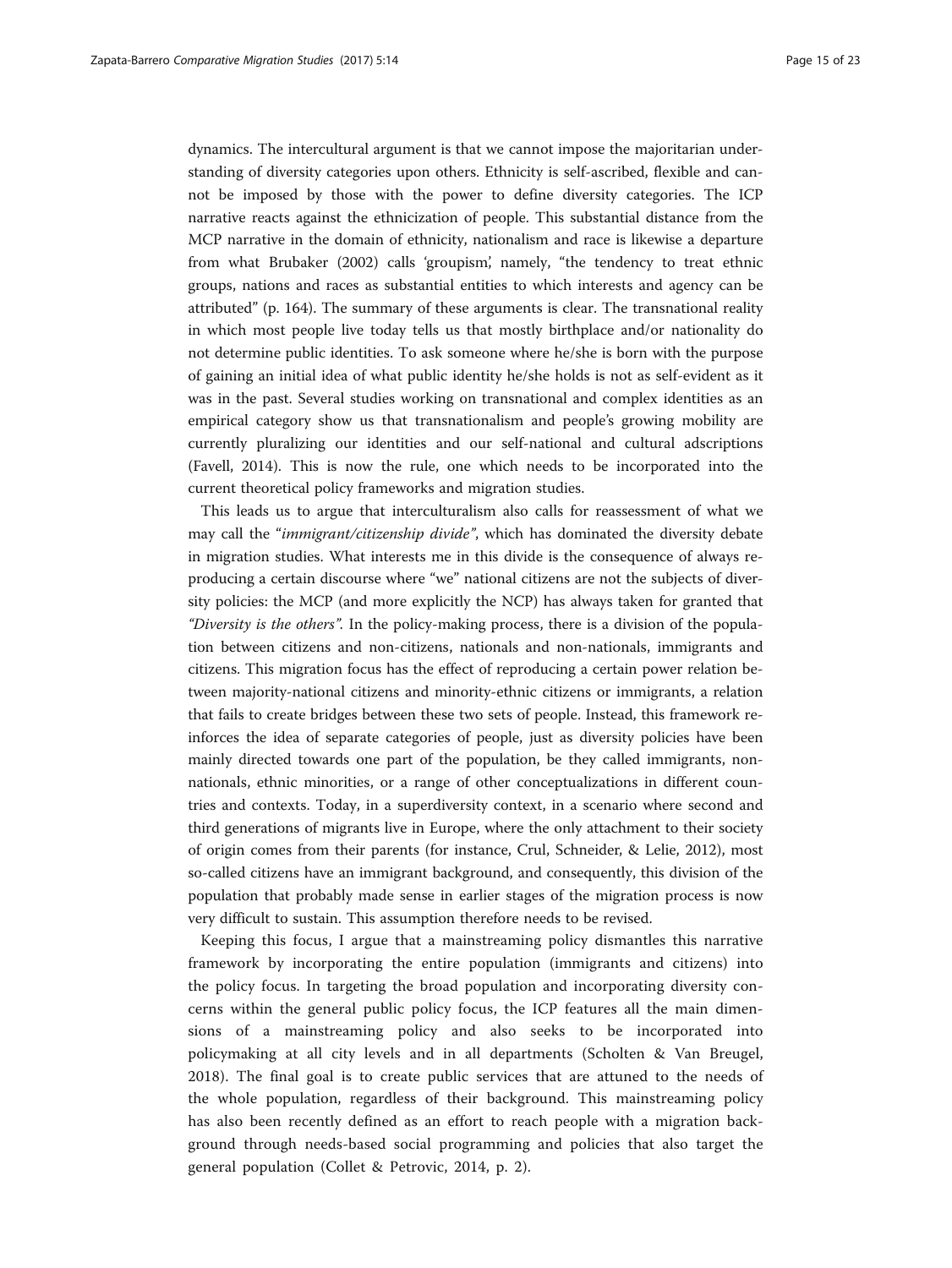dynamics. The intercultural argument is that we cannot impose the majoritarian understanding of diversity categories upon others. Ethnicity is self-ascribed, flexible and cannot be imposed by those with the power to define diversity categories. The ICP narrative reacts against the ethnicization of people. This substantial distance from the MCP narrative in the domain of ethnicity, nationalism and race is likewise a departure from what Brubaker [\(2002\)](#page-19-0) calls 'groupism', namely, "the tendency to treat ethnic groups, nations and races as substantial entities to which interests and agency can be attributed" (p. 164). The summary of these arguments is clear. The transnational reality in which most people live today tells us that mostly birthplace and/or nationality do not determine public identities. To ask someone where he/she is born with the purpose of gaining an initial idea of what public identity he/she holds is not as self-evident as it was in the past. Several studies working on transnational and complex identities as an empirical category show us that transnationalism and people's growing mobility are currently pluralizing our identities and our self-national and cultural adscriptions (Favell, [2014\)](#page-20-0). This is now the rule, one which needs to be incorporated into the current theoretical policy frameworks and migration studies.

This leads us to argue that interculturalism also calls for reassessment of what we may call the "immigrant/citizenship divide", which has dominated the diversity debate in migration studies. What interests me in this divide is the consequence of always reproducing a certain discourse where "we" national citizens are not the subjects of diversity policies: the MCP (and more explicitly the NCP) has always taken for granted that "Diversity is the others". In the policy-making process, there is a division of the population between citizens and non-citizens, nationals and non-nationals, immigrants and citizens. This migration focus has the effect of reproducing a certain power relation between majority-national citizens and minority-ethnic citizens or immigrants, a relation that fails to create bridges between these two sets of people. Instead, this framework reinforces the idea of separate categories of people, just as diversity policies have been mainly directed towards one part of the population, be they called immigrants, nonnationals, ethnic minorities, or a range of other conceptualizations in different countries and contexts. Today, in a superdiversity context, in a scenario where second and third generations of migrants live in Europe, where the only attachment to their society of origin comes from their parents (for instance, Crul, Schneider, & Lelie, [2012](#page-19-0)), most so-called citizens have an immigrant background, and consequently, this division of the population that probably made sense in earlier stages of the migration process is now very difficult to sustain. This assumption therefore needs to be revised.

Keeping this focus, I argue that a mainstreaming policy dismantles this narrative framework by incorporating the entire population (immigrants and citizens) into the policy focus. In targeting the broad population and incorporating diversity concerns within the general public policy focus, the ICP features all the main dimensions of a mainstreaming policy and also seeks to be incorporated into policymaking at all city levels and in all departments (Scholten & Van Breugel, [2018\)](#page-21-0). The final goal is to create public services that are attuned to the needs of the whole population, regardless of their background. This mainstreaming policy has also been recently defined as an effort to reach people with a migration background through needs-based social programming and policies that also target the general population (Collet & Petrovic, [2014](#page-19-0), p. 2).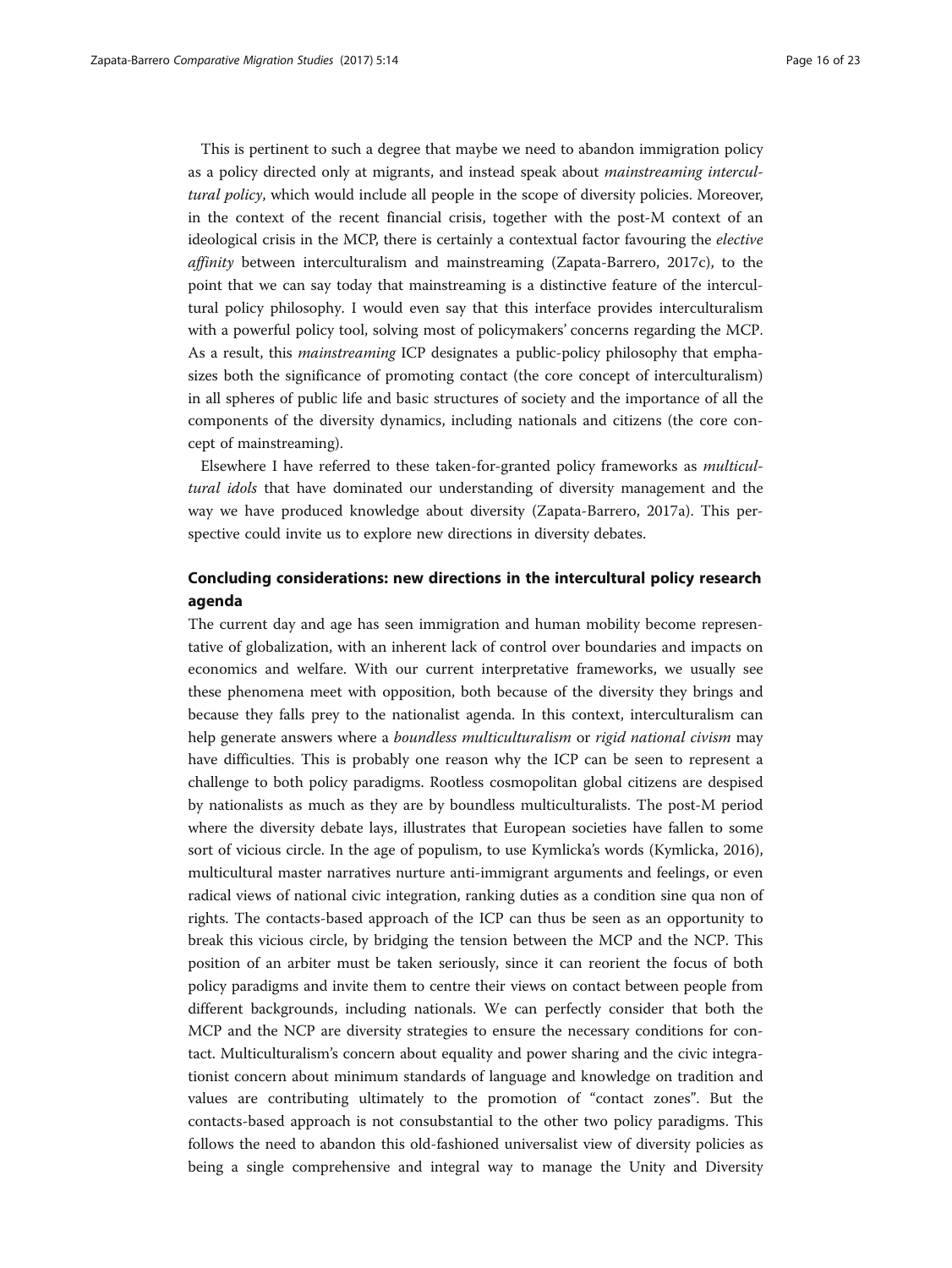This is pertinent to such a degree that maybe we need to abandon immigration policy as a policy directed only at migrants, and instead speak about mainstreaming intercultural policy, which would include all people in the scope of diversity policies. Moreover, in the context of the recent financial crisis, together with the post-M context of an ideological crisis in the MCP, there is certainly a contextual factor favouring the elective affinity between interculturalism and mainstreaming (Zapata-Barrero, [2017c\)](#page-22-0), to the point that we can say today that mainstreaming is a distinctive feature of the intercultural policy philosophy. I would even say that this interface provides interculturalism with a powerful policy tool, solving most of policymakers' concerns regarding the MCP. As a result, this mainstreaming ICP designates a public-policy philosophy that emphasizes both the significance of promoting contact (the core concept of interculturalism) in all spheres of public life and basic structures of society and the importance of all the components of the diversity dynamics, including nationals and citizens (the core concept of mainstreaming).

Elsewhere I have referred to these taken-for-granted policy frameworks as multicultural idols that have dominated our understanding of diversity management and the way we have produced knowledge about diversity (Zapata-Barrero, [2017a\)](#page-22-0). This perspective could invite us to explore new directions in diversity debates.

# Concluding considerations: new directions in the intercultural policy research agenda

The current day and age has seen immigration and human mobility become representative of globalization, with an inherent lack of control over boundaries and impacts on economics and welfare. With our current interpretative frameworks, we usually see these phenomena meet with opposition, both because of the diversity they brings and because they falls prey to the nationalist agenda. In this context, interculturalism can help generate answers where a *boundless multiculturalism* or *rigid national civism* may have difficulties. This is probably one reason why the ICP can be seen to represent a challenge to both policy paradigms. Rootless cosmopolitan global citizens are despised by nationalists as much as they are by boundless multiculturalists. The post-M period where the diversity debate lays, illustrates that European societies have fallen to some sort of vicious circle. In the age of populism, to use Kymlicka's words (Kymlicka, [2016](#page-20-0)), multicultural master narratives nurture anti-immigrant arguments and feelings, or even radical views of national civic integration, ranking duties as a condition sine qua non of rights. The contacts-based approach of the ICP can thus be seen as an opportunity to break this vicious circle, by bridging the tension between the MCP and the NCP. This position of an arbiter must be taken seriously, since it can reorient the focus of both policy paradigms and invite them to centre their views on contact between people from different backgrounds, including nationals. We can perfectly consider that both the MCP and the NCP are diversity strategies to ensure the necessary conditions for contact. Multiculturalism's concern about equality and power sharing and the civic integrationist concern about minimum standards of language and knowledge on tradition and values are contributing ultimately to the promotion of "contact zones". But the contacts-based approach is not consubstantial to the other two policy paradigms. This follows the need to abandon this old-fashioned universalist view of diversity policies as being a single comprehensive and integral way to manage the Unity and Diversity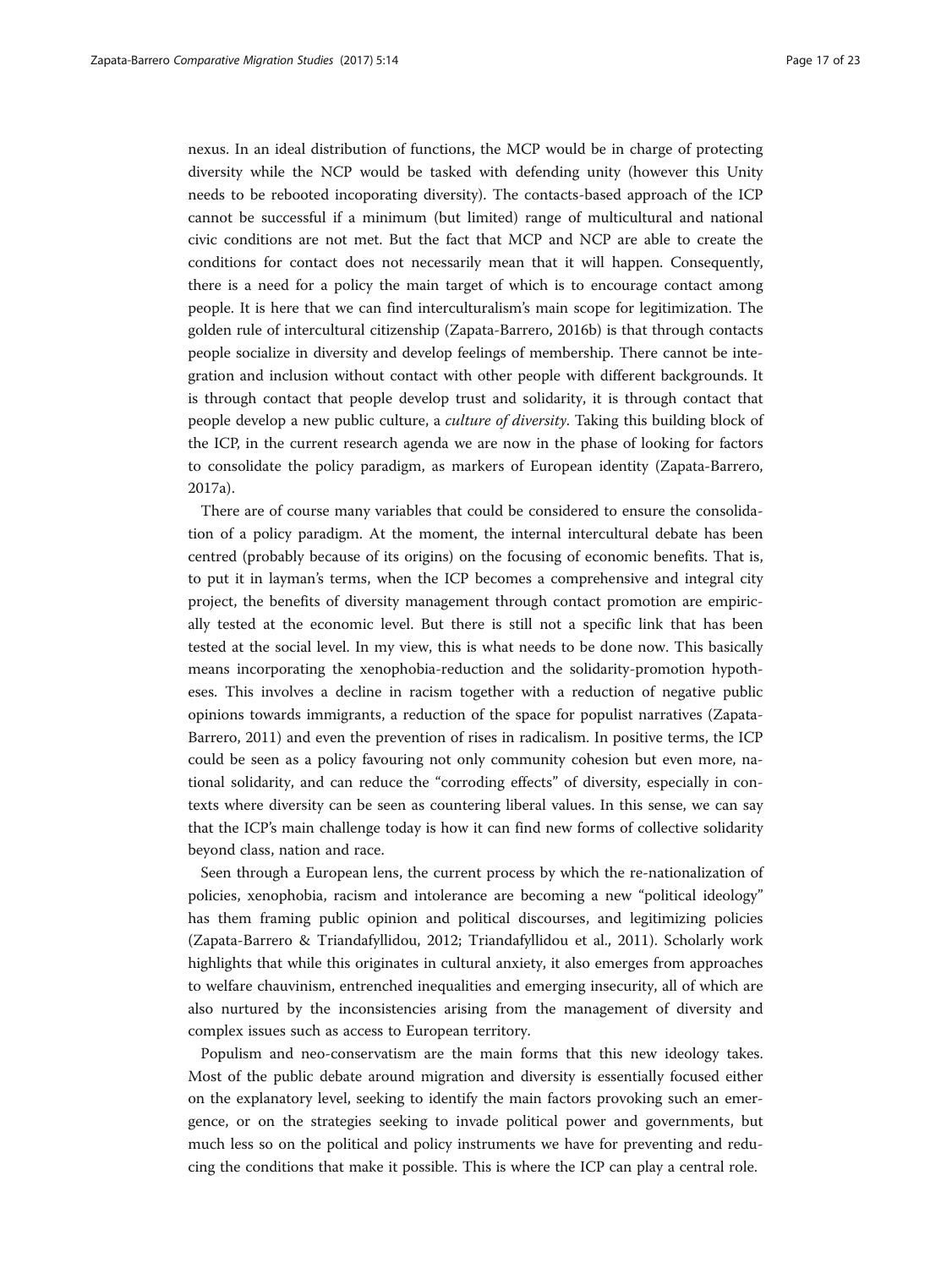nexus. In an ideal distribution of functions, the MCP would be in charge of protecting diversity while the NCP would be tasked with defending unity (however this Unity needs to be rebooted incoporating diversity). The contacts-based approach of the ICP cannot be successful if a minimum (but limited) range of multicultural and national civic conditions are not met. But the fact that MCP and NCP are able to create the conditions for contact does not necessarily mean that it will happen. Consequently, there is a need for a policy the main target of which is to encourage contact among people. It is here that we can find interculturalism's main scope for legitimization. The golden rule of intercultural citizenship (Zapata-Barrero, [2016b\)](#page-22-0) is that through contacts people socialize in diversity and develop feelings of membership. There cannot be integration and inclusion without contact with other people with different backgrounds. It is through contact that people develop trust and solidarity, it is through contact that people develop a new public culture, a *culture of diversity*. Taking this building block of the ICP, in the current research agenda we are now in the phase of looking for factors to consolidate the policy paradigm, as markers of European identity (Zapata-Barrero, [2017a\)](#page-22-0).

There are of course many variables that could be considered to ensure the consolidation of a policy paradigm. At the moment, the internal intercultural debate has been centred (probably because of its origins) on the focusing of economic benefits. That is, to put it in layman's terms, when the ICP becomes a comprehensive and integral city project, the benefits of diversity management through contact promotion are empirically tested at the economic level. But there is still not a specific link that has been tested at the social level. In my view, this is what needs to be done now. This basically means incorporating the xenophobia-reduction and the solidarity-promotion hypotheses. This involves a decline in racism together with a reduction of negative public opinions towards immigrants, a reduction of the space for populist narratives (Zapata-Barrero, [2011](#page-22-0)) and even the prevention of rises in radicalism. In positive terms, the ICP could be seen as a policy favouring not only community cohesion but even more, national solidarity, and can reduce the "corroding effects" of diversity, especially in contexts where diversity can be seen as countering liberal values. In this sense, we can say that the ICP's main challenge today is how it can find new forms of collective solidarity beyond class, nation and race.

Seen through a European lens, the current process by which the re-nationalization of policies, xenophobia, racism and intolerance are becoming a new "political ideology" has them framing public opinion and political discourses, and legitimizing policies (Zapata-Barrero & Triandafyllidou, [2012;](#page-22-0) Triandafyllidou et al., [2011](#page-21-0)). Scholarly work highlights that while this originates in cultural anxiety, it also emerges from approaches to welfare chauvinism, entrenched inequalities and emerging insecurity, all of which are also nurtured by the inconsistencies arising from the management of diversity and complex issues such as access to European territory.

Populism and neo-conservatism are the main forms that this new ideology takes. Most of the public debate around migration and diversity is essentially focused either on the explanatory level, seeking to identify the main factors provoking such an emergence, or on the strategies seeking to invade political power and governments, but much less so on the political and policy instruments we have for preventing and reducing the conditions that make it possible. This is where the ICP can play a central role.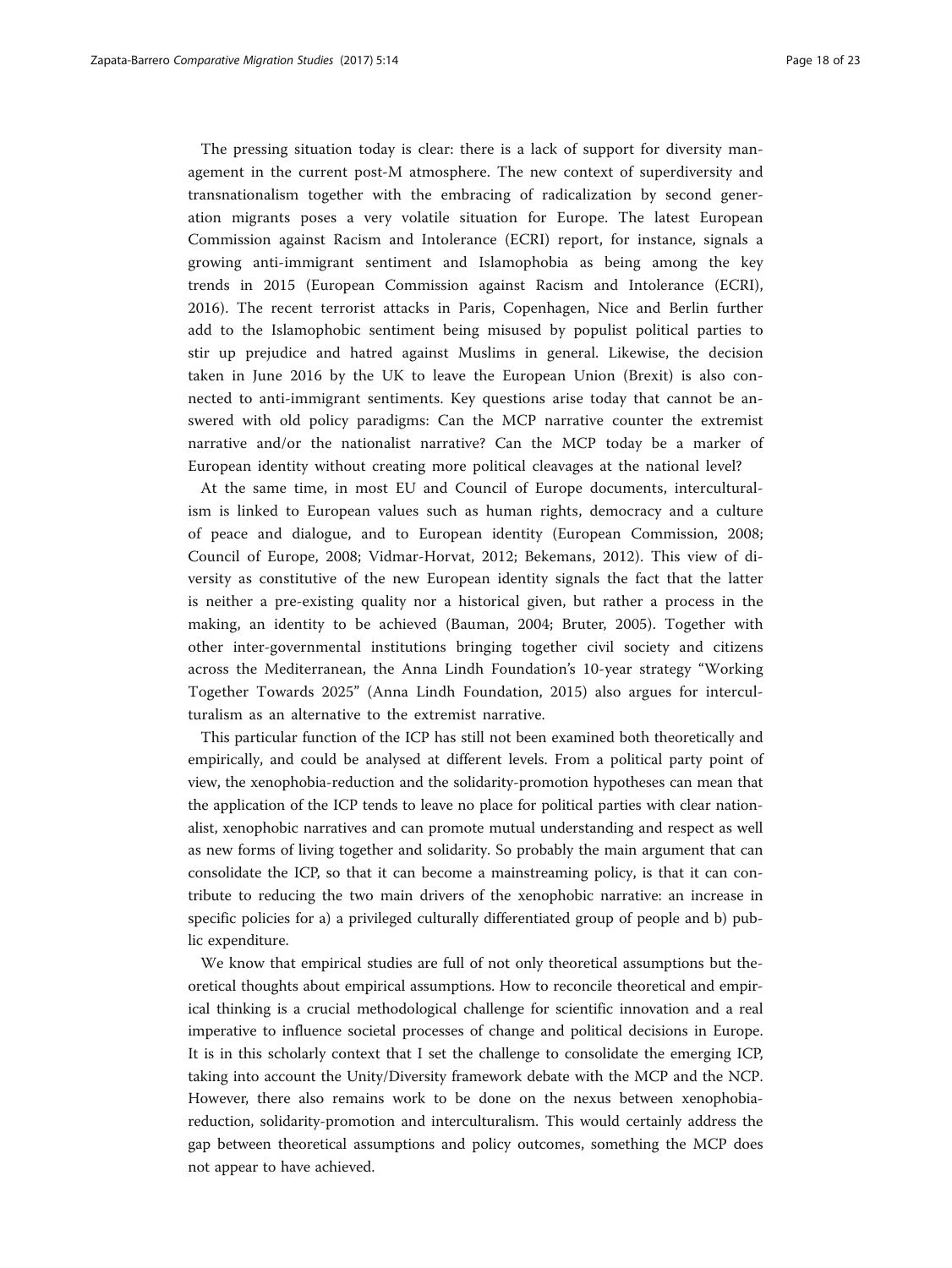The pressing situation today is clear: there is a lack of support for diversity management in the current post-M atmosphere. The new context of superdiversity and transnationalism together with the embracing of radicalization by second generation migrants poses a very volatile situation for Europe. The latest European Commission against Racism and Intolerance (ECRI) report, for instance, signals a growing anti-immigrant sentiment and Islamophobia as being among the key trends in 2015 (European Commission against Racism and Intolerance (ECRI), [2016\)](#page-20-0). The recent terrorist attacks in Paris, Copenhagen, Nice and Berlin further add to the Islamophobic sentiment being misused by populist political parties to stir up prejudice and hatred against Muslims in general. Likewise, the decision taken in June 2016 by the UK to leave the European Union (Brexit) is also connected to anti-immigrant sentiments. Key questions arise today that cannot be answered with old policy paradigms: Can the MCP narrative counter the extremist narrative and/or the nationalist narrative? Can the MCP today be a marker of European identity without creating more political cleavages at the national level?

At the same time, in most EU and Council of Europe documents, interculturalism is linked to European values such as human rights, democracy and a culture of peace and dialogue, and to European identity (European Commission, [2008](#page-20-0); Council of Europe, [2008;](#page-19-0) Vidmar-Horvat, [2012;](#page-21-0) Bekemans, [2012](#page-19-0)). This view of diversity as constitutive of the new European identity signals the fact that the latter is neither a pre-existing quality nor a historical given, but rather a process in the making, an identity to be achieved (Bauman, [2004;](#page-19-0) Bruter, [2005](#page-19-0)). Together with other inter-governmental institutions bringing together civil society and citizens across the Mediterranean, the Anna Lindh Foundation's 10-year strategy "Working Together Towards 2025" (Anna Lindh Foundation, [2015](#page-19-0)) also argues for interculturalism as an alternative to the extremist narrative.

This particular function of the ICP has still not been examined both theoretically and empirically, and could be analysed at different levels. From a political party point of view, the xenophobia-reduction and the solidarity-promotion hypotheses can mean that the application of the ICP tends to leave no place for political parties with clear nationalist, xenophobic narratives and can promote mutual understanding and respect as well as new forms of living together and solidarity. So probably the main argument that can consolidate the ICP, so that it can become a mainstreaming policy, is that it can contribute to reducing the two main drivers of the xenophobic narrative: an increase in specific policies for a) a privileged culturally differentiated group of people and b) public expenditure.

We know that empirical studies are full of not only theoretical assumptions but theoretical thoughts about empirical assumptions. How to reconcile theoretical and empirical thinking is a crucial methodological challenge for scientific innovation and a real imperative to influence societal processes of change and political decisions in Europe. It is in this scholarly context that I set the challenge to consolidate the emerging ICP, taking into account the Unity/Diversity framework debate with the MCP and the NCP. However, there also remains work to be done on the nexus between xenophobiareduction, solidarity-promotion and interculturalism. This would certainly address the gap between theoretical assumptions and policy outcomes, something the MCP does not appear to have achieved.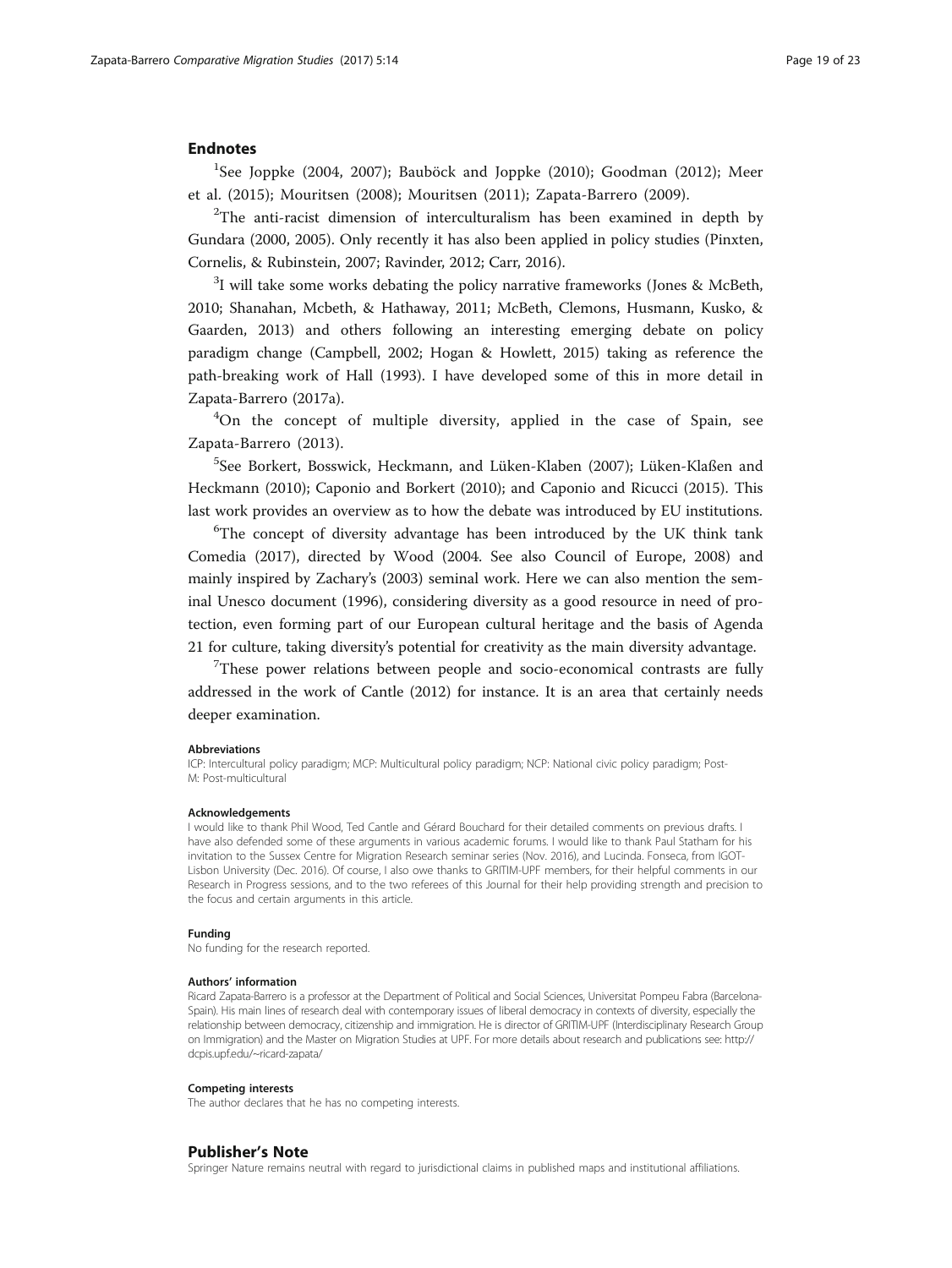## **Endnotes**

<sup>1</sup>See Joppke [\(2004](#page-20-0), [2007](#page-20-0)); Bauböck and Joppke [\(2010](#page-19-0)); Goodman ([2012\)](#page-20-0); Meer et al. ([2015\)](#page-21-0); Mouritsen ([2008\)](#page-21-0); Mouritsen ([2011\)](#page-21-0); Zapata-Barrero [\(2009](#page-22-0)).

 $2$ The anti-racist dimension of interculturalism has been examined in depth by Gundara ([2000](#page-20-0), [2005](#page-20-0)). Only recently it has also been applied in policy studies (Pinxten, Cornelis, & Rubinstein, [2007;](#page-21-0) Ravinder, [2012;](#page-21-0) Carr, [2016](#page-19-0)).

 $3$ I will take some works debating the policy narrative frameworks (Jones & McBeth, [2010](#page-20-0); Shanahan, Mcbeth, & Hathaway, [2011;](#page-21-0) McBeth, Clemons, Husmann, Kusko, & Gaarden, [2013](#page-21-0)) and others following an interesting emerging debate on policy paradigm change (Campbell, [2002](#page-19-0); Hogan & Howlett, [2015](#page-20-0)) taking as reference the path-breaking work of Hall [\(1993\)](#page-20-0). I have developed some of this in more detail in Zapata-Barrero [\(2017a](#page-22-0)).

<sup>4</sup>On the concept of multiple diversity, applied in the case of Spain, see Zapata-Barrero [\(2013\)](#page-22-0).

5 See Borkert, Bosswick, Heckmann, and Lüken-Klaben [\(2007](#page-19-0)); Lüken-Klaßen and Heckmann [\(2010\)](#page-21-0); Caponio and Borkert [\(2010\)](#page-19-0); and Caponio and Ricucci [\(2015\)](#page-19-0). This last work provides an overview as to how the debate was introduced by EU institutions.

<sup>6</sup>The concept of diversity advantage has been introduced by the UK think tank Comedia ([2017](#page-19-0)), directed by Wood ([2004.](#page-22-0) See also Council of Europe, [2008](#page-19-0)) and mainly inspired by Zachary's [\(2003\)](#page-22-0) seminal work. Here we can also mention the seminal Unesco document (1996), considering diversity as a good resource in need of protection, even forming part of our European cultural heritage and the basis of Agenda 21 for culture, taking diversity's potential for creativity as the main diversity advantage.

 $7$ These power relations between people and socio-economical contrasts are fully addressed in the work of Cantle ([2012](#page-19-0)) for instance. It is an area that certainly needs deeper examination.

#### Abbreviations

ICP: Intercultural policy paradigm; MCP: Multicultural policy paradigm; NCP: National civic policy paradigm; Post-M: Post-multicultural

#### Acknowledgements

I would like to thank Phil Wood, Ted Cantle and Gérard Bouchard for their detailed comments on previous drafts. I have also defended some of these arguments in various academic forums. I would like to thank Paul Statham for his invitation to the Sussex Centre for Migration Research seminar series (Nov. 2016), and Lucinda. Fonseca, from IGOT-Lisbon University (Dec. 2016). Of course, I also owe thanks to GRITIM-UPF members, for their helpful comments in our Research in Progress sessions, and to the two referees of this Journal for their help providing strength and precision to the focus and certain arguments in this article.

#### Funding

No funding for the research reported.

#### Authors' information

Ricard Zapata-Barrero is a professor at the Department of Political and Social Sciences, Universitat Pompeu Fabra (Barcelona-Spain). His main lines of research deal with contemporary issues of liberal democracy in contexts of diversity, especially the relationship between democracy, citizenship and immigration. He is director of GRITIM-UPF (Interdisciplinary Research Group on Immigration) and the Master on Migration Studies at UPF. For more details about research and publications see: [http://](http://dcpis.upf.edu/~ricard-zapata/) [dcpis.upf.edu/~ricard-zapata/](http://dcpis.upf.edu/~ricard-zapata/)

#### Competing interests

The author declares that he has no competing interests.

## Publisher's Note

Springer Nature remains neutral with regard to jurisdictional claims in published maps and institutional affiliations.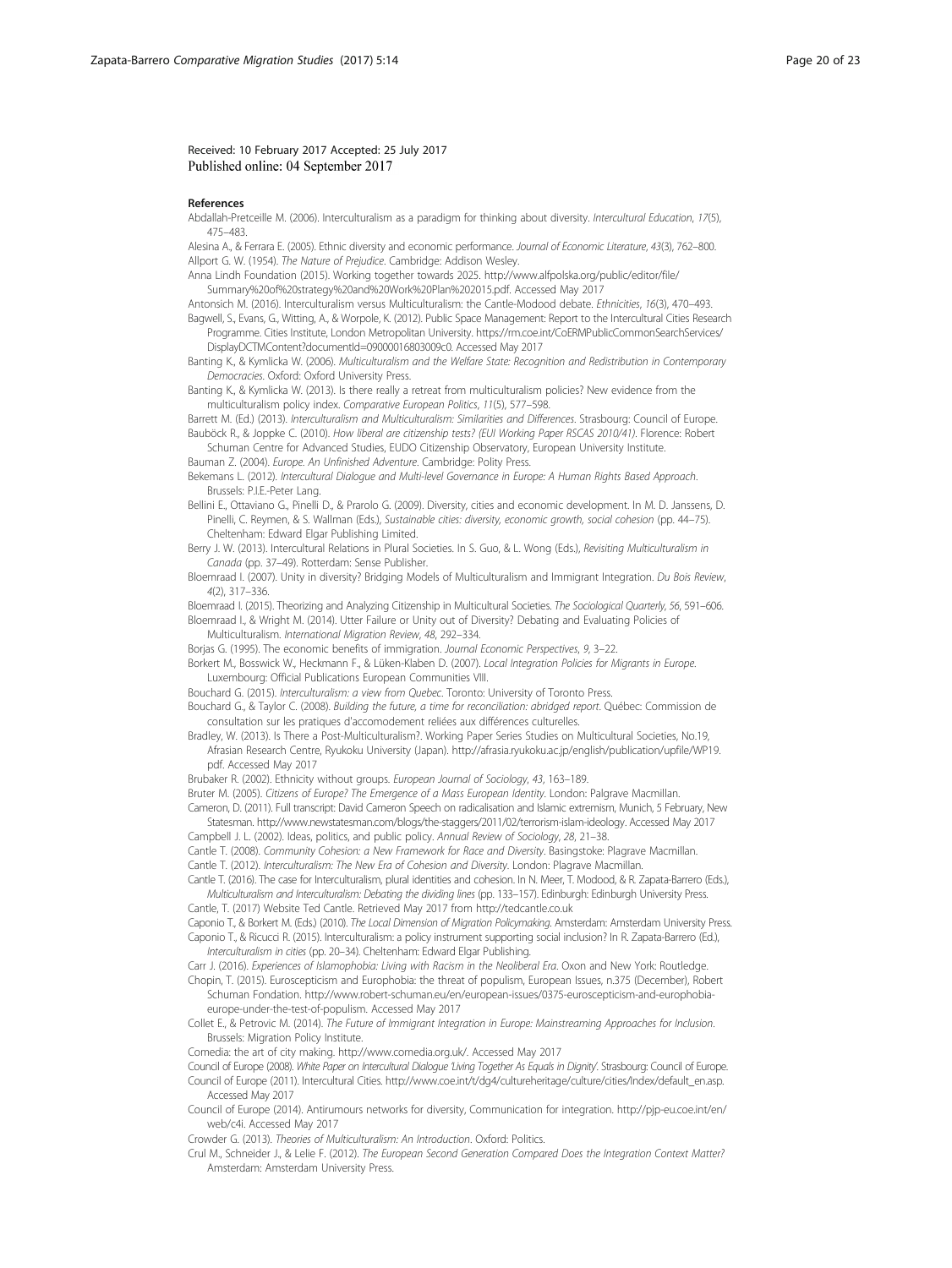<span id="page-19-0"></span>Received: 10 February 2017 Accepted: 25 July 2017<br>Published online: 04 September 2017

#### **References**

- Abdallah-Pretceille M. (2006). Interculturalism as a paradigm for thinking about diversity. Intercultural Education, 17(5), 475–483.
- Alesina A., & Ferrara E. (2005). Ethnic diversity and economic performance. Journal of Economic Literature, 43(3), 762–800. Allport G. W. (1954). The Nature of Prejudice. Cambridge: Addison Wesley.
- Anna Lindh Foundation (2015). Working together towards 2025. [http://www.alfpolska.org/public/editor/file/](http://www.alfpolska.org/public/editor/file/Summary%20of%20strategy%20and%20Work%20Plan%202015.pdf) [Summary%20of%20strategy%20and%20Work%20Plan%202015.pdf.](http://www.alfpolska.org/public/editor/file/Summary%20of%20strategy%20and%20Work%20Plan%202015.pdf) Accessed May 2017
- Antonsich M. (2016). Interculturalism versus Multiculturalism: the Cantle-Modood debate. Ethnicities, 16(3), 470–493.
- Bagwell, S., Evans, G., Witting, A., & Worpole, K. (2012). Public Space Management: Report to the Intercultural Cities Research Programme. Cities Institute, London Metropolitan University. [https://rm.coe.int/CoERMPublicCommonSearchServices/](https://rm.coe.int/CoERMPublicCommonSearchServices/DisplayDCTMContent?documentId=09000016803009c0) [DisplayDCTMContent?documentId=09000016803009c0](https://rm.coe.int/CoERMPublicCommonSearchServices/DisplayDCTMContent?documentId=09000016803009c0). Accessed May 2017
- Banting K., & Kymlicka W. (2006). Multiculturalism and the Welfare State: Recognition and Redistribution in Contemporary Democracies. Oxford: Oxford University Press.
- Banting K., & Kymlicka W. (2013). Is there really a retreat from multiculturalism policies? New evidence from the multiculturalism policy index. Comparative European Politics, 11(5), 577–598.
- Barrett M. (Ed.) (2013). Interculturalism and Multiculturalism: Similarities and Differences. Strasbourg: Council of Europe. Bauböck R., & Joppke C. (2010). How liberal are citizenship tests? (EUI Working Paper RSCAS 2010/41). Florence: Robert
- Schuman Centre for Advanced Studies, EUDO Citizenship Observatory, European University Institute. Bauman Z. (2004). Europe. An Unfinished Adventure. Cambridge: Polity Press.
- Bekemans L. (2012). Intercultural Dialogue and Multi-level Governance in Europe: A Human Rights Based Approach. Brussels: P.I.E.-Peter Lang.
- Bellini E., Ottaviano G., Pinelli D., & Prarolo G. (2009). Diversity, cities and economic development. In M. D. Janssens, D. Pinelli, C. Reymen, & S. Wallman (Eds.), Sustainable cities: diversity, economic growth, social cohesion (pp. 44–75). Cheltenham: Edward Elgar Publishing Limited.
- Berry J. W. (2013). Intercultural Relations in Plural Societies. In S. Guo, & L. Wong (Eds.), Revisiting Multiculturalism in Canada (pp. 37–49). Rotterdam: Sense Publisher.
- Bloemraad I. (2007). Unity in diversity? Bridging Models of Multiculturalism and Immigrant Integration. Du Bois Review, 4(2), 317–336.
- Bloemraad I. (2015). Theorizing and Analyzing Citizenship in Multicultural Societies. The Sociological Quarterly, 56, 591–606. Bloemraad I., & Wright M. (2014). Utter Failure or Unity out of Diversity? Debating and Evaluating Policies of
- Multiculturalism. International Migration Review, 48, 292–334.
- Borjas G. (1995). The economic benefits of immigration. Journal Economic Perspectives, 9, 3–22.
- Borkert M., Bosswick W., Heckmann F., & Lüken-Klaben D. (2007). Local Integration Policies for Migrants in Europe. Luxembourg: Official Publications European Communities VIII.
- Bouchard G. (2015). Interculturalism: a view from Quebec. Toronto: University of Toronto Press.
- Bouchard G., & Taylor C. (2008). Building the future, a time for reconciliation: abridged report. Québec: Commission de consultation sur les pratiques d'accomodement reliées aux différences culturelles.
- Bradley, W. (2013). Is There a Post-Multiculturalism?. Working Paper Series Studies on Multicultural Societies, No.19, Afrasian Research Centre, Ryukoku University (Japan). [http://afrasia.ryukoku.ac.jp/english/publication/upfile/WP19.](http://afrasia.ryukoku.ac.jp/english/publication/upfile/WP19.pdf) [pdf](http://afrasia.ryukoku.ac.jp/english/publication/upfile/WP19.pdf). Accessed May 2017
- Brubaker R. (2002). Ethnicity without groups. European Journal of Sociology, 43, 163–189.
- Bruter M. (2005). Citizens of Europe? The Emergence of a Mass European Identity. London: Palgrave Macmillan.
- Cameron, D. (2011). Full transcript: David Cameron Speech on radicalisation and Islamic extremism, Munich, 5 February, New
- Statesman.<http://www.newstatesman.com/blogs/the-staggers/2011/02/terrorism-islam-ideology>. Accessed May 2017 Campbell J. L. (2002). Ideas, politics, and public policy. Annual Review of Sociology, 28, 21–38.
- Cantle T. (2008). Community Cohesion: a New Framework for Race and Diversity. Basingstoke: Plagrave Macmillan.
- Cantle T. (2012). Interculturalism: The New Era of Cohesion and Diversity. London: Plagrave Macmillan.
- Cantle T. (2016). The case for Interculturalism, plural identities and cohesion. In N. Meer, T. Modood, & R. Zapata-Barrero (Eds.), Multiculturalism and Interculturalism: Debating the dividing lines (pp. 133–157). Edinburgh: Edinburgh University Press.
- Cantle, T. (2017) Website Ted Cantle. Retrieved May 2017 from<http://tedcantle.co.uk>
- Caponio T., & Borkert M. (Eds.) (2010). The Local Dimension of Migration Policymaking. Amsterdam: Amsterdam University Press. Caponio T., & Ricucci R. (2015). Interculturalism: a policy instrument supporting social inclusion? In R. Zapata-Barrero (Ed.), Interculturalism in cities (pp. 20–34). Cheltenham: Edward Elgar Publishing.
- Carr J. (2016). Experiences of Islamophobia: Living with Racism in the Neoliberal Era. Oxon and New York: Routledge. Chopin, T. (2015). Euroscepticism and Europhobia: the threat of populism, European Issues, n.375 (December), Robert
- Schuman Fondation. [http://www.robert-schuman.eu/en/european-issues/0375-euroscepticism-and-europhobia](http://www.robert-schuman.eu/en/european-issues/0375-euroscepticism-and-europhobia-europe-under-the-test-of-populism)[europe-under-the-test-of-populism.](http://www.robert-schuman.eu/en/european-issues/0375-euroscepticism-and-europhobia-europe-under-the-test-of-populism) Accessed May 2017
- Collet E., & Petrovic M. (2014). The Future of Immigrant Integration in Europe: Mainstreaming Approaches for Inclusion. Brussels: Migration Policy Institute.
- Comedia: the art of city making.<http://www.comedia.org.uk/>. Accessed May 2017
- Council of Europe (2008). White Paper on Intercultural Dialogue 'Living Together As Equals in Dignity'. Strasbourg: Council of Europe. Council of Europe (2011). Intercultural Cities. [http://www.coe.int/t/dg4/cultureheritage/culture/cities/Index/default\\_en.asp](http://www.coe.int/t/dg4/cultureheritage/culture/cities/Index/default_en.asp). Accessed May 2017
- Council of Europe (2014). Antirumours networks for diversity, Communication for integration. [http://pjp-eu.coe.int/en/](http://pjp-eu.coe.int/en/web/c4i) [web/c4i.](http://pjp-eu.coe.int/en/web/c4i) Accessed May 2017
- Crowder G. (2013). Theories of Multiculturalism: An Introduction. Oxford: Politics.
- Crul M., Schneider J., & Lelie F. (2012). The European Second Generation Compared Does the Integration Context Matter? Amsterdam: Amsterdam University Press.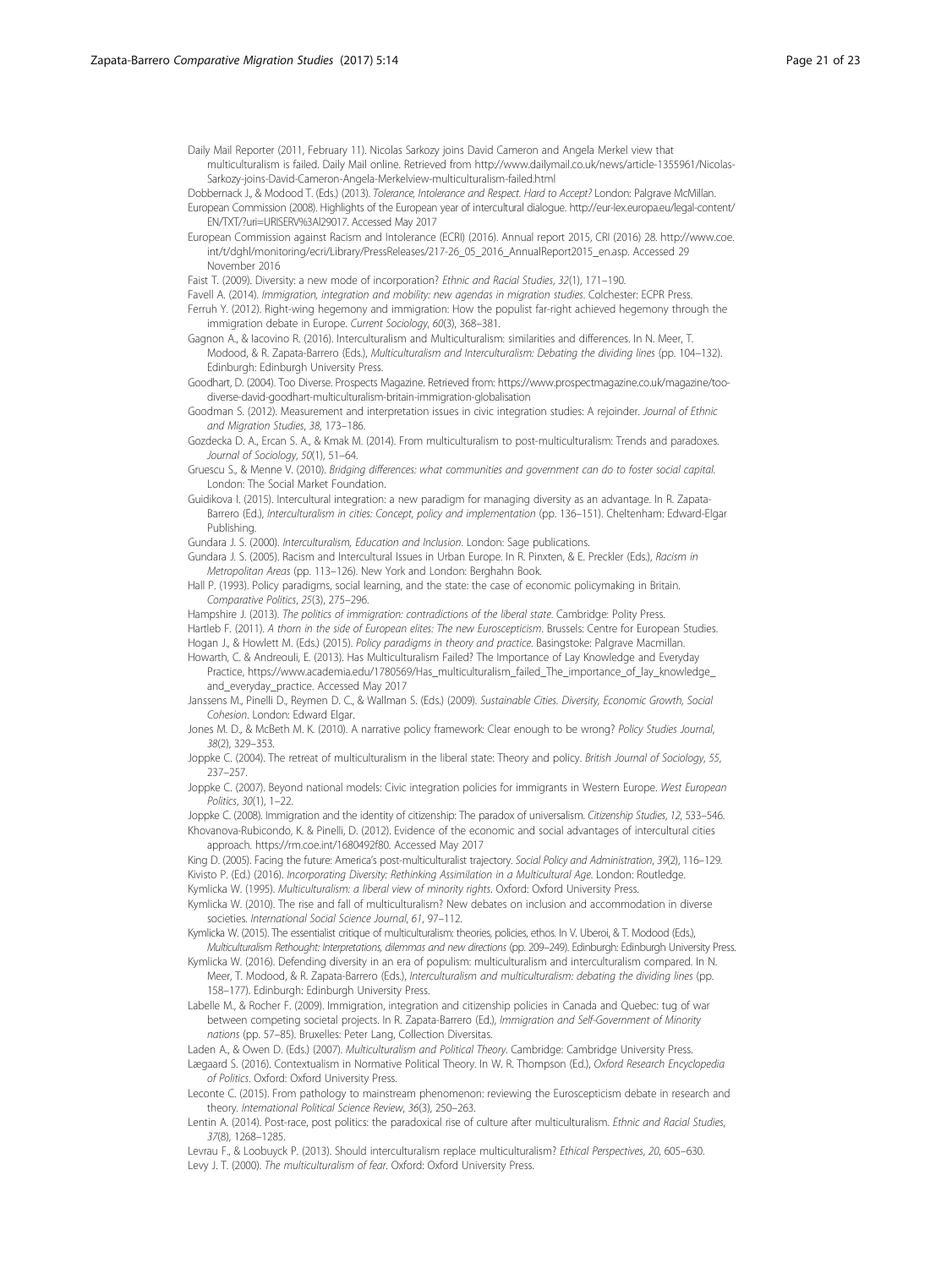<span id="page-20-0"></span>Daily Mail Reporter (2011, February 11). Nicolas Sarkozy joins David Cameron and Angela Merkel view that multiculturalism is failed. Daily Mail online. Retrieved from [http://www.dailymail.co.uk/news/article-1355961/Nicolas-](http://www.dailymail.co.uk/news/article-1355961/Nicolas-Sarkozy-joins-David-Cameron-Angela-Merkelview-multiculturalism-failed.html)[Sarkozy-joins-David-Cameron-Angela-Merkelview-multiculturalism-failed.html](http://www.dailymail.co.uk/news/article-1355961/Nicolas-Sarkozy-joins-David-Cameron-Angela-Merkelview-multiculturalism-failed.html)

Dobbernack J., & Modood T. (Eds.) (2013). Tolerance, Intolerance and Respect. Hard to Accept? London: Palgrave McMillan.

European Commission (2008). Highlights of the European year of intercultural dialogue. [http://eur-lex.europa.eu/legal-content/](http://eur-lex.europa.eu/legal-content/EN/TXT/?uri=URISERV%3Al29017) [EN/TXT/?uri=URISERV%3Al29017](http://eur-lex.europa.eu/legal-content/EN/TXT/?uri=URISERV%3Al29017). Accessed May 2017

European Commission against Racism and Intolerance (ECRI) (2016). Annual report 2015, CRI (2016) 28. [http://www.coe.](http://www.coe.int/t/dghl/monitoring/ecri/Library/PressReleases/217-26_05_2016_AnnualReport2015_en.asp) [int/t/dghl/monitoring/ecri/Library/PressReleases/217-26\\_05\\_2016\\_AnnualReport2015\\_en.asp.](http://www.coe.int/t/dghl/monitoring/ecri/Library/PressReleases/217-26_05_2016_AnnualReport2015_en.asp) Accessed 29 November 2016

Faist T. (2009). Diversity: a new mode of incorporation? Ethnic and Racial Studies, 32(1), 171-190.

Favell A. (2014). Immigration, integration and mobility: new agendas in migration studies. Colchester: ECPR Press. Ferruh Y. (2012). Right-wing hegemony and immigration: How the populist far-right achieved hegemony through the immigration debate in Europe. Current Sociology, 60(3), 368–381.

Gagnon A., & Iacovino R. (2016). Interculturalism and Multiculturalism: similarities and differences. In N. Meer, T. Modood, & R. Zapata-Barrero (Eds.), Multiculturalism and Interculturalism: Debating the dividing lines (pp. 104–132). Edinburgh: Edinburgh University Press.

Goodhart, D. (2004). Too Diverse. Prospects Magazine. Retrieved from: [https://www.prospectmagazine.co.uk/magazine/too](https://www.prospectmagazine.co.uk/magazine/too-diverse-david-goodhart-multiculturalism-britain-immigration-globalisation)[diverse-david-goodhart-multiculturalism-britain-immigration-globalisation](https://www.prospectmagazine.co.uk/magazine/too-diverse-david-goodhart-multiculturalism-britain-immigration-globalisation)

Goodman S. (2012). Measurement and interpretation issues in civic integration studies: A rejoinder. Journal of Ethnic and Migration Studies, 38, 173–186.

Gozdecka D. A., Ercan S. A., & Kmak M. (2014). From multiculturalism to post-multiculturalism: Trends and paradoxes. Journal of Sociology, 50(1), 51–64.

Gruescu S., & Menne V. (2010). Bridging differences: what communities and government can do to foster social capital. London: The Social Market Foundation.

Guidikova I. (2015). Intercultural integration: a new paradigm for managing diversity as an advantage. In R. Zapata-Barrero (Ed.), Interculturalism in cities: Concept, policy and implementation (pp. 136–151). Cheltenham: Edward-Elgar Publishing.

Gundara J. S. (2000). Interculturalism, Education and Inclusion. London: Sage publications.

Gundara J. S. (2005). Racism and Intercultural Issues in Urban Europe. In R. Pinxten, & E. Preckler (Eds.), Racism in Metropolitan Areas (pp. 113–126). New York and London: Berghahn Book

Hall P. (1993). Policy paradigms, social learning, and the state: the case of economic policymaking in Britain. Comparative Politics, 25(3), 275–296.

Hampshire J. (2013). The politics of immigration: contradictions of the liberal state. Cambridge: Polity Press. Hartleb F. (2011). A thorn in the side of European elites: The new Euroscepticism. Brussels: Centre for European Studies. Hogan J., & Howlett M. (Eds.) (2015). Policy paradigms in theory and practice. Basingstoke: Palgrave Macmillan.

Howarth, C. & Andreouli, E. (2013). Has Multiculturalism Failed? The Importance of Lay Knowledge and Everyday

Practice, [https://www.academia.edu/1780569/Has\\_multiculturalism\\_failed\\_The\\_importance\\_of\\_lay\\_knowledge\\_](https://www.academia.edu/1780569/Has_multiculturalism_failed_The_importance_of_lay_knowledge_and_everyday_practice) [and\\_everyday\\_practice](https://www.academia.edu/1780569/Has_multiculturalism_failed_The_importance_of_lay_knowledge_and_everyday_practice). Accessed May 2017

Janssens M., Pinelli D., Reymen D. C., & Wallman S. (Eds.) (2009). Sustainable Cities. Diversity, Economic Growth, Social Cohesion. London: Edward Elgar.

Jones M. D., & McBeth M. K. (2010). A narrative policy framework: Clear enough to be wrong? Policy Studies Journal, 38(2), 329–353.

Joppke C. (2004). The retreat of multiculturalism in the liberal state: Theory and policy. British Journal of Sociology, 55, 237–257.

Joppke C. (2007). Beyond national models: Civic integration policies for immigrants in Western Europe. West European Politics, 30(1), 1–22.

Joppke C. (2008). Immigration and the identity of citizenship: The paradox of universalism. Citizenship Studies, 12, 533–546. Khovanova-Rubicondo, K. & Pinelli, D. (2012). Evidence of the economic and social advantages of intercultural cities approach.<https://rm.coe.int/1680492f80>. Accessed May 2017

King D. (2005). Facing the future: America's post-multiculturalist trajectory. Social Policy and Administration, 39(2), 116–129. Kivisto P. (Ed.) (2016). Incorporating Diversity: Rethinking Assimilation in a Multicultural Age. London: Routledge. Kymlicka W. (1995). Multiculturalism: a liberal view of minority rights. Oxford: Oxford University Press.

Kymlicka W. (2010). The rise and fall of multiculturalism? New debates on inclusion and accommodation in diverse societies. International Social Science Journal, 61, 97–112.

Kymlicka W. (2015). The essentialist critique of multiculturalism: theories, policies, ethos. In V. Uberoi, & T. Modood (Eds.), Multiculturalism Rethought: Interpretations, dilemmas and new directions (pp. 209–249). Edinburgh: Edinburgh University Press.

Kymlicka W. (2016). Defending diversity in an era of populism: multiculturalism and interculturalism compared. In N. Meer, T. Modood, & R. Zapata-Barrero (Eds.), Interculturalism and multiculturalism: debating the dividing lines (pp. 158–177). Edinburgh: Edinburgh University Press.

Labelle M., & Rocher F. (2009). Immigration, integration and citizenship policies in Canada and Quebec: tug of war between competing societal projects. In R. Zapata-Barrero (Ed.), Immigration and Self-Government of Minority nations (pp. 57–85). Bruxelles: Peter Lang, Collection Diversitas.

Laden A., & Owen D. (Eds.) (2007). Multiculturalism and Political Theory. Cambridge: Cambridge University Press. Lægaard S. (2016). Contextualism in Normative Political Theory. In W. R. Thompson (Ed.), Oxford Research Encyclopedia

of Politics. Oxford: Oxford University Press.

Leconte C. (2015). From pathology to mainstream phenomenon: reviewing the Euroscepticism debate in research and theory. International Political Science Review, 36(3), 250–263.

Lentin A. (2014). Post-race, post politics: the paradoxical rise of culture after multiculturalism. Ethnic and Racial Studies, 37(8), 1268–1285.

Levrau F., & Loobuyck P. (2013). Should interculturalism replace multiculturalism? Ethical Perspectives, 20, 605-630. Levy J. T. (2000). The multiculturalism of fear. Oxford: Oxford University Press.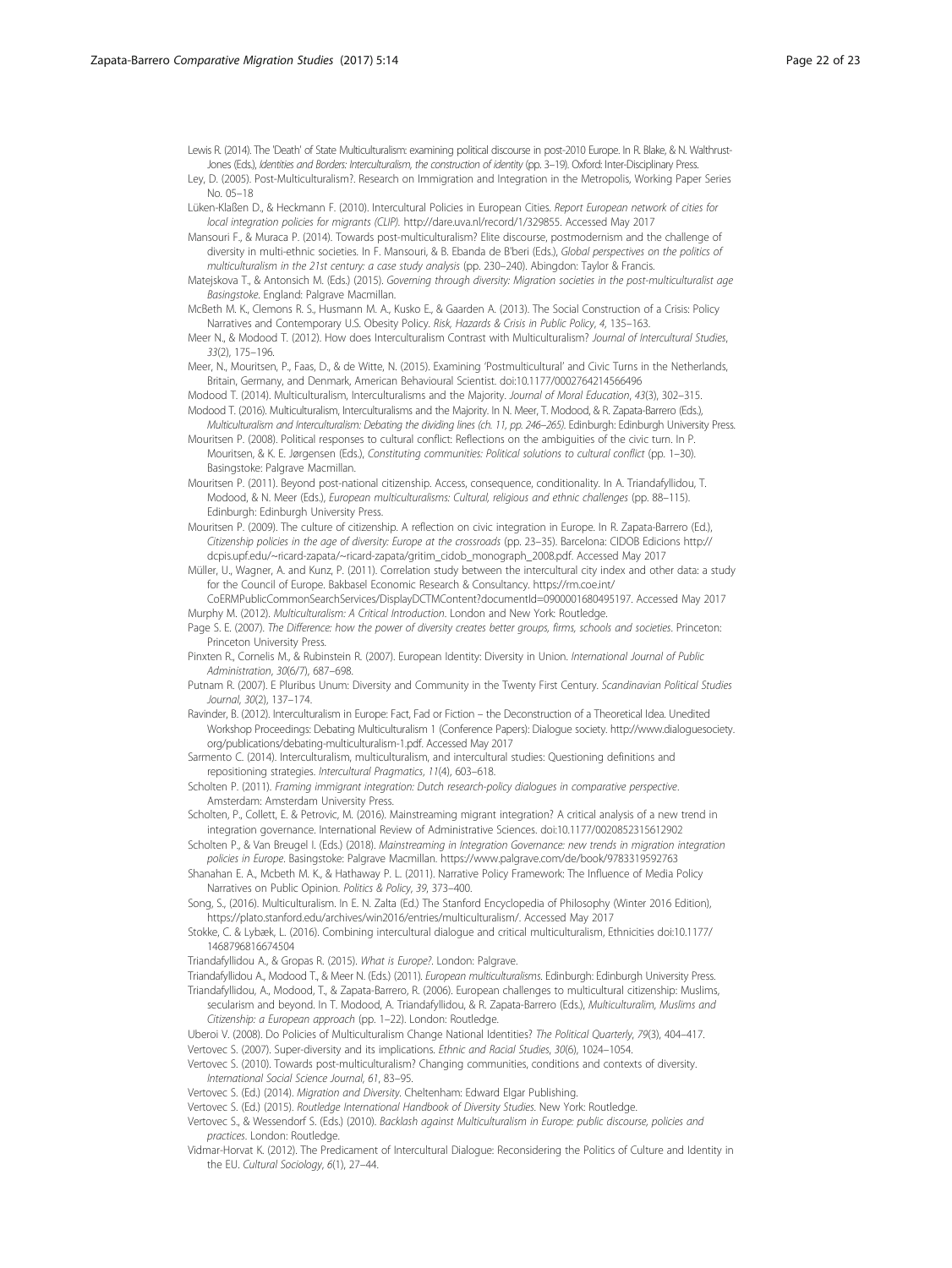<span id="page-21-0"></span>Lewis R. (2014). The 'Death' of State Multiculturalism: examining political discourse in post-2010 Europe. In R. Blake, & N. Walthrust-Jones (Eds.), Identities and Borders: Interculturalism, the construction of identity (pp. 3–19). Oxford: Inter-Disciplinary Press.

Ley, D. (2005). Post-Multiculturalism?. Research on Immigration and Integration in the Metropolis, Working Paper Series No. 05–18

Lüken-Klaßen D., & Heckmann F. (2010). Intercultural Policies in European Cities. Report European network of cities for local integration policies for migrants (CLIP). [http://dare.uva.nl/record/1/329855.](http://dare.uva.nl/record/1/329855) Accessed May 2017

Mansouri F., & Muraca P. (2014). Towards post-multiculturalism? Elite discourse, postmodernism and the challenge of diversity in multi-ethnic societies. In F. Mansouri, & B. Ebanda de B'beri (Eds.), Global perspectives on the politics of multiculturalism in the 21st century: a case study analysis (pp. 230–240). Abingdon: Taylor & Francis.

Matejskova T., & Antonsich M. (Eds.) (2015). Governing through diversity: Migration societies in the post-multiculturalist age Basingstoke. England: Palgrave Macmillan.

McBeth M. K., Clemons R. S., Husmann M. A., Kusko E., & Gaarden A. (2013). The Social Construction of a Crisis: Policy Narratives and Contemporary U.S. Obesity Policy. Risk, Hazards & Crisis in Public Policy, 4, 135–163.

Meer N., & Modood T. (2012). How does Interculturalism Contrast with Multiculturalism? Journal of Intercultural Studies, 33(2), 175–196.

Meer, N., Mouritsen, P., Faas, D., & de Witte, N. (2015). Examining 'Postmulticultural' and Civic Turns in the Netherlands, Britain, Germany, and Denmark, American Behavioural Scientist. doi[:10.1177/0002764214566496](http://dx.doi.org/10.1177/0002764214566496)

Modood T. (2014). Multiculturalism, Interculturalisms and the Majority. Journal of Moral Education, 43(3), 302–315. Modood T. (2016). Multiculturalism, Interculturalisms and the Majority. In N. Meer, T. Modood, & R. Zapata-Barrero (Eds.),

Multiculturalism and Interculturalism: Debating the dividing lines (ch. 11, pp. 246–265). Edinburgh: Edinburgh University Press. Mouritsen P. (2008). Political responses to cultural conflict: Reflections on the ambiguities of the civic turn. In P.

Mouritsen, & K. E. Jørgensen (Eds.), Constituting communities: Political solutions to cultural conflict (pp. 1–30). Basingstoke: Palgrave Macmillan.

Mouritsen P. (2011). Beyond post-national citizenship. Access, consequence, conditionality. In A. Triandafyllidou, T. Modood, & N. Meer (Eds.), European multiculturalisms: Cultural, religious and ethnic challenges (pp. 88–115). Edinburgh: Edinburgh University Press.

Mouritsen P. (2009). The culture of citizenship. A reflection on civic integration in Europe. In R. Zapata-Barrero (Ed.), Citizenship policies in the age of diversity: Europe at the crossroads (pp. 23–35). Barcelona: CIDOB Edicions [http://](http://dcpis.upf.edu/~ricard-zapata/~ricard-zapata/gritim_cidob_monograph_2008.pdf) [dcpis.upf.edu/~ricard-zapata/~ricard-zapata/gritim\\_cidob\\_monograph\\_2008.pdf.](http://dcpis.upf.edu/~ricard-zapata/~ricard-zapata/gritim_cidob_monograph_2008.pdf) Accessed May 2017

Müller, U., Wagner, A. and Kunz, P. (2011). Correlation study between the intercultural city index and other data: a study for the Council of Europe. Bakbasel Economic Research & Consultancy. [https://rm.coe.int/](https://rm.coe.int/CoERMPublicCommonSearchServices/DisplayDCTMContent?documentId=0900001680495197)

[CoERMPublicCommonSearchServices/DisplayDCTMContent?documentId=0900001680495197.](https://rm.coe.int/CoERMPublicCommonSearchServices/DisplayDCTMContent?documentId=0900001680495197) Accessed May 2017 Murphy M. (2012). Multiculturalism: A Critical Introduction. London and New York: Routledge.

Page S. E. (2007). The Difference: how the power of diversity creates better groups, firms, schools and societies. Princeton: Princeton University Press.

Pinxten R., Cornelis M., & Rubinstein R. (2007). European Identity: Diversity in Union. International Journal of Public Administration, 30(6/7), 687–698.

Putnam R. (2007). E Pluribus Unum: Diversity and Community in the Twenty First Century. Scandinavian Political Studies Journal, 30(2), 137–174.

Ravinder, B. (2012). Interculturalism in Europe: Fact, Fad or Fiction – the Deconstruction of a Theoretical Idea. Unedited Workshop Proceedings: Debating Multiculturalism 1 (Conference Papers): Dialogue society. [http://www.dialoguesociety.](http://www.dialoguesociety.org/publications/debating-multiculturalism-1.pdf) [org/publications/debating-multiculturalism-1.pdf.](http://www.dialoguesociety.org/publications/debating-multiculturalism-1.pdf) Accessed May 2017

Sarmento C. (2014). Interculturalism, multiculturalism, and intercultural studies: Questioning definitions and repositioning strategies. Intercultural Pragmatics, 11(4), 603–618.

Scholten P. (2011). Framing immigrant integration: Dutch research-policy dialogues in comparative perspective. Amsterdam: Amsterdam University Press.

Scholten, P., Collett, E. & Petrovic, M. (2016). Mainstreaming migrant integration? A critical analysis of a new trend in integration governance. International Review of Administrative Sciences. doi:[10.1177/0020852315612902](http://dx.doi.org/10.1177/0020852315612902)

Scholten P., & Van Breugel I. (Eds.) (2018). Mainstreaming in Integration Governance: new trends in migration integration policies in Europe. Basingstoke: Palgrave Macmillan.<https://www.palgrave.com/de/book/9783319592763>

Shanahan E. A., Mcbeth M. K., & Hathaway P. L. (2011). Narrative Policy Framework: The Influence of Media Policy Narratives on Public Opinion. Politics & Policy, 39, 373–400.

Song, S., (2016). Multiculturalism. In E. N. Zalta (Ed.) The Stanford Encyclopedia of Philosophy (Winter 2016 Edition), [https://plato.stanford.edu/archives/win2016/entries/multiculturalism/.](https://plato.stanford.edu/archives/win2016/entries/multiculturalism/) Accessed May 2017

Stokke, C. & Lybæk, L. (2016). Combining intercultural dialogue and critical multiculturalism, Ethnicities doi:[10.1177/](http://dx.doi.org/10.1177/1468796816674504) [1468796816674504](http://dx.doi.org/10.1177/1468796816674504)

Triandafyllidou A., & Gropas R. (2015). What is Europe?. London: Palgrave.

Triandafyllidou A., Modood T., & Meer N. (Eds.) (2011). European multiculturalisms. Edinburgh: Edinburgh University Press.

Triandafyllidou, A., Modood, T., & Zapata-Barrero, R. (2006). European challenges to multicultural citizenship: Muslims, secularism and beyond. In T. Modood, A. Triandafyllidou, & R. Zapata-Barrero (Eds.), Multiculturalim, Muslims and Citizenship: a European approach (pp. 1–22). London: Routledge.

Uberoi V. (2008). Do Policies of Multiculturalism Change National Identities? The Political Quarterly, 79(3), 404–417.

Vertovec S. (2007). Super-diversity and its implications. Ethnic and Racial Studies, 30(6), 1024–1054. Vertovec S. (2010). Towards post-multiculturalism? Changing communities, conditions and contexts of diversity. International Social Science Journal, 61, 83–95.

Vertovec S. (Ed.) (2014). Migration and Diversity. Cheltenham: Edward Elgar Publishing.

Vertovec S. (Ed.) (2015). Routledge International Handbook of Diversity Studies. New York: Routledge

Vertovec S., & Wessendorf S. (Eds.) (2010). Backlash against Multiculturalism in Europe: public discourse, policies and practices. London: Routledge.

Vidmar-Horvat K. (2012). The Predicament of Intercultural Dialogue: Reconsidering the Politics of Culture and Identity in the EU. Cultural Sociology, 6(1), 27–44.